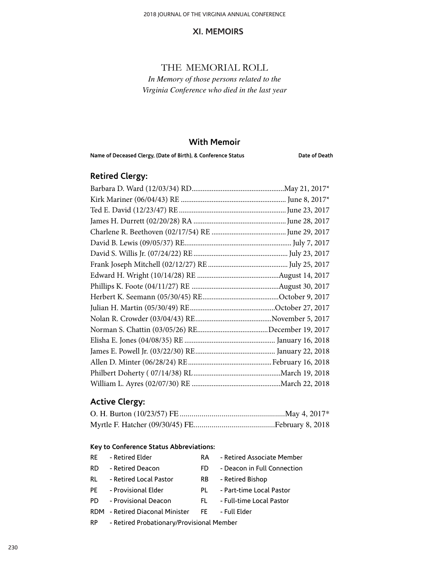### THE MEMORIAL ROLL

*In Memory of those persons related to the Virginia Conference who died in the last year*

#### **With Memoir**

Name of Deceased Clergy, (Date of Birth), & Conference Status **Date of Death** 

# **Retired Clergy:**

# **Active Clergy:**

#### **Key to Conference Status Abbreviations:**

| RF. | - Retired Elder        | RA. | - Retired Associate Member  |
|-----|------------------------|-----|-----------------------------|
| RD. | - Retired Deacon       | FD. | - Deacon in Full Connection |
| RL  | - Retired Local Pastor | RB. | - Retired Bishop            |
| PF  | - Provisional Elder    | PL  | - Part-time Local Pastor    |
| PD. | - Provisional Deacon   | FL. | - Full-time Local Pastor    |

- RDM Retired Diaconal Minister FE Full Elder
- RP Retired Probationary/Provisional Member

230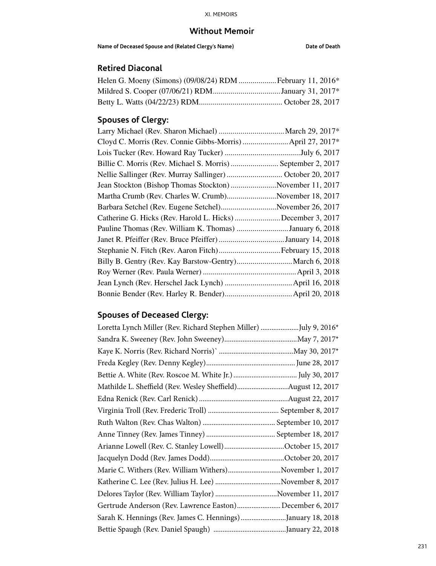### **Without Memoir**

**Name of Deceased Spouse and (Related Clergy's Name) Date of Death**

# **Retired Diaconal**

| Mildred S. Cooper (07/06/21) RDMJanuary 31, 2017* |  |
|---------------------------------------------------|--|
|                                                   |  |

# **Spouses of Clergy:**

| Cloyd C. Morris (Rev. Connie Gibbs-Morris)  April 27, 2017*  |  |
|--------------------------------------------------------------|--|
|                                                              |  |
| Billie C. Morris (Rev. Michael S. Morris)  September 2, 2017 |  |
| Nellie Sallinger (Rev. Murray Sallinger)  October 20, 2017   |  |
| Jean Stockton (Bishop Thomas Stockton) November 11, 2017     |  |
| Martha Crumb (Rev. Charles W. Crumb)November 18, 2017        |  |
| Barbara Setchel (Rev. Eugene Setchel)November 26, 2017       |  |
| Catherine G. Hicks (Rev. Harold L. Hicks) December 3, 2017   |  |
| Pauline Thomas (Rev. William K. Thomas) January 6, 2018      |  |
| Janet R. Pfeiffer (Rev. Bruce Pfeiffer) January 14, 2018     |  |
| Stephanie N. Fitch (Rev. Aaron Fitch) February 15, 2018      |  |
| Billy B. Gentry (Rev. Kay Barstow-Gentry) March 6, 2018      |  |
|                                                              |  |
|                                                              |  |
|                                                              |  |

# **Spouses of Deceased Clergy:**

| Loretta Lynch Miller (Rev. Richard Stephen Miller) July 9, 2016* |  |
|------------------------------------------------------------------|--|
|                                                                  |  |
|                                                                  |  |
|                                                                  |  |
|                                                                  |  |
| Mathilde L. Sheffield (Rev. Wesley Sheffield)August 12, 2017     |  |
|                                                                  |  |
|                                                                  |  |
|                                                                  |  |
|                                                                  |  |
| Arianne Lowell (Rev. C. Stanley Lowell)October 15, 2017          |  |
|                                                                  |  |
| Marie C. Withers (Rev. William Withers)November 1, 2017          |  |
|                                                                  |  |
| Delores Taylor (Rev. William Taylor) November 11, 2017           |  |
| Gertrude Anderson (Rev. Lawrence Easton)December 6, 2017         |  |
| Sarah K. Hennings (Rev. James C. Hennings)January 18, 2018       |  |
|                                                                  |  |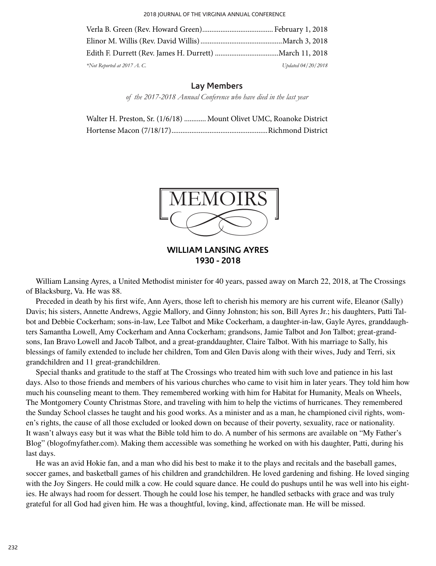2018 JOURNAL OF THE VIRGINIA ANNUAL CONFERENCE

| $*$ Not Reported at 2017 A.C. | Updated 04/20/2018 |
|-------------------------------|--------------------|

#### **Lay Members**

*of the 2017-2018 Annual Conference who have died in the last year*

| Walter H. Preston, Sr. (1/6/18)  Mount Olivet UMC, Roanoke District |
|---------------------------------------------------------------------|
|                                                                     |



**WILLIAM LANSING AYRES 1930 - 2018** 

William Lansing Ayres, a United Methodist minister for 40 years, passed away on March 22, 2018, at The Crossings of Blacksburg, Va. He was 88.

Preceded in death by his first wife, Ann Ayers, those left to cherish his memory are his current wife, Eleanor (Sally) Davis; his sisters, Annette Andrews, Aggie Mallory, and Ginny Johnston; his son, Bill Ayres Jr.; his daughters, Patti Talbot and Debbie Cockerham; sons-in-law, Lee Talbot and Mike Cockerham, a daughter-in-law, Gayle Ayres, granddaughters Samantha Lowell, Amy Cockerham and Anna Cockerham; grandsons, Jamie Talbot and Jon Talbot; great-grandsons, Ian Bravo Lowell and Jacob Talbot, and a great-granddaughter, Claire Talbot. With his marriage to Sally, his blessings of family extended to include her children, Tom and Glen Davis along with their wives, Judy and Terri, six grandchildren and 11 great-grandchildren.

Special thanks and gratitude to the staff at The Crossings who treated him with such love and patience in his last days. Also to those friends and members of his various churches who came to visit him in later years. They told him how much his counseling meant to them. They remembered working with him for Habitat for Humanity, Meals on Wheels, The Montgomery County Christmas Store, and traveling with him to help the victims of hurricanes. They remembered the Sunday School classes he taught and his good works. As a minister and as a man, he championed civil rights, women's rights, the cause of all those excluded or looked down on because of their poverty, sexuality, race or nationality. It wasn't always easy but it was what the Bible told him to do. A number of his sermons are available on "My Father's Blog" (blogofmyfather.com). Making them accessible was something he worked on with his daughter, Patti, during his last days.

He was an avid Hokie fan, and a man who did his best to make it to the plays and recitals and the baseball games, soccer games, and basketball games of his children and grandchildren. He loved gardening and fishing. He loved singing with the Joy Singers. He could milk a cow. He could square dance. He could do pushups until he was well into his eighties. He always had room for dessert. Though he could lose his temper, he handled setbacks with grace and was truly grateful for all God had given him. He was a thoughtful, loving, kind, affectionate man. He will be missed.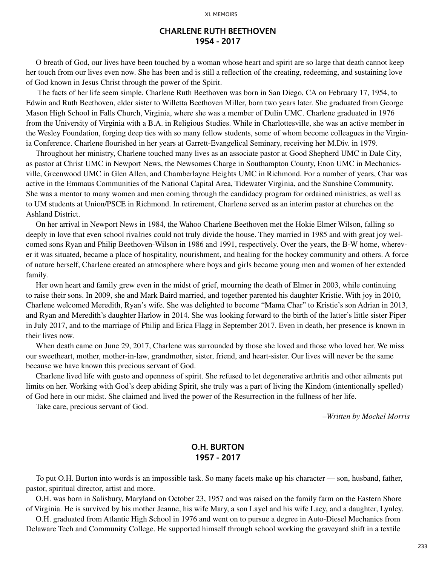#### **CHARLENE RUTH BEETHOVEN 1954 - 2017**

O breath of God, our lives have been touched by a woman whose heart and spirit are so large that death cannot keep her touch from our lives even now. She has been and is still a reflection of the creating, redeeming, and sustaining love of God known in Jesus Christ through the power of the Spirit.

 The facts of her life seem simple. Charlene Ruth Beethoven was born in San Diego, CA on February 17, 1954, to Edwin and Ruth Beethoven, elder sister to Willetta Beethoven Miller, born two years later. She graduated from George Mason High School in Falls Church, Virginia, where she was a member of Dulin UMC. Charlene graduated in 1976 from the University of Virginia with a B.A. in Religious Studies. While in Charlottesville, she was an active member in the Wesley Foundation, forging deep ties with so many fellow students, some of whom become colleagues in the Virginia Conference. Charlene flourished in her years at Garrett-Evangelical Seminary, receiving her M.Div. in 1979.

Throughout her ministry, Charlene touched many lives as an associate pastor at Good Shepherd UMC in Dale City, as pastor at Christ UMC in Newport News, the Newsomes Charge in Southampton County, Enon UMC in Mechanicsville, Greenwood UMC in Glen Allen, and Chamberlayne Heights UMC in Richmond. For a number of years, Char was active in the Emmaus Communities of the National Capital Area, Tidewater Virginia, and the Sunshine Community. She was a mentor to many women and men coming through the candidacy program for ordained ministries, as well as to UM students at Union/PSCE in Richmond. In retirement, Charlene served as an interim pastor at churches on the Ashland District.

On her arrival in Newport News in 1984, the Wahoo Charlene Beethoven met the Hokie Elmer Wilson, falling so deeply in love that even school rivalries could not truly divide the house. They married in 1985 and with great joy welcomed sons Ryan and Philip Beethoven-Wilson in 1986 and 1991, respectively. Over the years, the B-W home, wherever it was situated, became a place of hospitality, nourishment, and healing for the hockey community and others. A force of nature herself, Charlene created an atmosphere where boys and girls became young men and women of her extended family.

Her own heart and family grew even in the midst of grief, mourning the death of Elmer in 2003, while continuing to raise their sons. In 2009, she and Mark Baird married, and together parented his daughter Kristie. With joy in 2010, Charlene welcomed Meredith, Ryan's wife. She was delighted to become "Mama Char" to Kristie's son Adrian in 2013, and Ryan and Meredith's daughter Harlow in 2014. She was looking forward to the birth of the latter's little sister Piper in July 2017, and to the marriage of Philip and Erica Flagg in September 2017. Even in death, her presence is known in their lives now.

When death came on June 29, 2017, Charlene was surrounded by those she loved and those who loved her. We miss our sweetheart, mother, mother-in-law, grandmother, sister, friend, and heart-sister. Our lives will never be the same because we have known this precious servant of God.

Charlene lived life with gusto and openness of spirit. She refused to let degenerative arthritis and other ailments put limits on her. Working with God's deep abiding Spirit, she truly was a part of living the Kindom (intentionally spelled) of God here in our midst. She claimed and lived the power of the Resurrection in the fullness of her life.

Take care, precious servant of God.

*–Written by Mochel Morris*

#### **O.H. BURTON 1957 - 2017**

To put O.H. Burton into words is an impossible task. So many facets make up his character — son, husband, father, pastor, spiritual director, artist and more.

O.H. was born in Salisbury, Maryland on October 23, 1957 and was raised on the family farm on the Eastern Shore of Virginia. He is survived by his mother Jeanne, his wife Mary, a son Layel and his wife Lacy, and a daughter, Lynley.

O.H. graduated from Atlantic High School in 1976 and went on to pursue a degree in Auto-Diesel Mechanics from Delaware Tech and Community College. He supported himself through school working the graveyard shift in a textile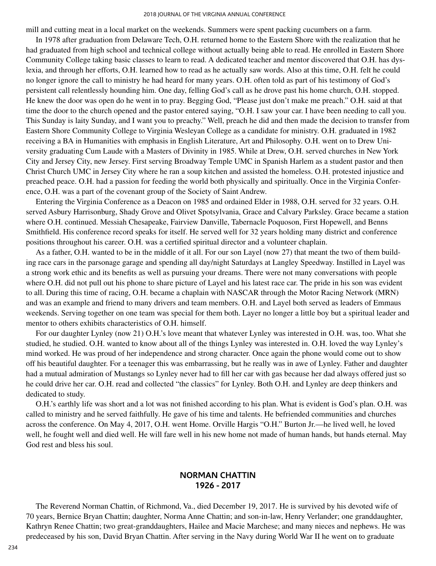mill and cutting meat in a local market on the weekends. Summers were spent packing cucumbers on a farm.

In 1978 after graduation from Delaware Tech, O.H. returned home to the Eastern Shore with the realization that he had graduated from high school and technical college without actually being able to read. He enrolled in Eastern Shore Community College taking basic classes to learn to read. A dedicated teacher and mentor discovered that O.H. has dyslexia, and through her efforts, O.H. learned how to read as he actually saw words. Also at this time, O.H. felt he could no longer ignore the call to ministry he had heard for many years. O.H. often told as part of his testimony of God's persistent call relentlessly hounding him. One day, felling God's call as he drove past his home church, O.H. stopped. He knew the door was open do he went in to pray. Begging God, "Please just don't make me preach." O.H. said at that time the door to the church opened and the pastor entered saying, "O.H. I saw your car. I have been needing to call you. This Sunday is laity Sunday, and I want you to preachy." Well, preach he did and then made the decision to transfer from Eastern Shore Community College to Virginia Wesleyan College as a candidate for ministry. O.H. graduated in 1982 receiving a BA in Humanities with emphasis in English Literature, Art and Philosophy. O.H. went on to Drew University graduating Cum Laude with a Masters of Divinity in 1985. While at Drew, O.H. served churches in New York City and Jersey City, new Jersey. First serving Broadway Temple UMC in Spanish Harlem as a student pastor and then Christ Church UMC in Jersey City where he ran a soup kitchen and assisted the homeless. O.H. protested injustice and preached peace. O.H. had a passion for feeding the world both physically and spiritually. Once in the Virginia Conference, O.H. was a part of the covenant group of the Society of Saint Andrew.

Entering the Virginia Conference as a Deacon on 1985 and ordained Elder in 1988, O.H. served for 32 years. O.H. served Asbury Harrisonburg, Shady Grove and Olivet Spotsylvania, Grace and Calvary Parksley. Grace became a station where O.H. continued. Messiah Chesapeake, Fairview Danville, Tabernacle Poquoson, First Hopewell, and Benns Smithfield. His conference record speaks for itself. He served well for 32 years holding many district and conference positions throughout his career. O.H. was a certified spiritual director and a volunteer chaplain.

As a father, O.H. wanted to be in the middle of it all. For our son Layel (now 27) that meant the two of them building race cars in the parsonage garage and spending all day/night Saturdays at Langley Speedway. Instilled in Layel was a strong work ethic and its benefits as well as pursuing your dreams. There were not many conversations with people where O.H. did not pull out his phone to share picture of Layel and his latest race car. The pride in his son was evident to all. During this time of racing, O.H. became a chaplain with NASCAR through the Motor Racing Network (MRN) and was an example and friend to many drivers and team members. O.H. and Layel both served as leaders of Emmaus weekends. Serving together on one team was special for them both. Layer no longer a little boy but a spiritual leader and mentor to others exhibits characteristics of O.H. himself.

For our daughter Lynley (now 21) O.H.'s love meant that whatever Lynley was interested in O.H. was, too. What she studied, he studied. O.H. wanted to know about all of the things Lynley was interested in. O.H. loved the way Lynley's mind worked. He was proud of her independence and strong character. Once again the phone would come out to show off his beautiful daughter. For a teenager this was embarrassing, but he really was in awe of Lynley. Father and daughter had a mutual admiration of Mustangs so Lynley never had to fill her car with gas because her dad always offered just so he could drive her car. O.H. read and collected "the classics" for Lynley. Both O.H. and Lynley are deep thinkers and dedicated to study.

O.H.'s earthly life was short and a lot was not finished according to his plan. What is evident is God's plan. O.H. was called to ministry and he served faithfully. He gave of his time and talents. He befriended communities and churches across the conference. On May 4, 2017, O.H. went Home. Orville Hargis "O.H." Burton Jr.—he lived well, he loved well, he fought well and died well. He will fare well in his new home not made of human hands, but hands eternal. May God rest and bless his soul.

### **NORMAN CHATTIN 1926 - 2017**

The Reverend Norman Chattin, of Richmond, Va., died December 19, 2017. He is survived by his devoted wife of 70 years, Bernice Bryan Chattin; daughter, Norma Anne Chattin; and son-in-law, Henry Verlander; one granddaughter, Kathryn Renee Chattin; two great-granddaughters, Hailee and Macie Marchese; and many nieces and nephews. He was predeceased by his son, David Bryan Chattin. After serving in the Navy during World War II he went on to graduate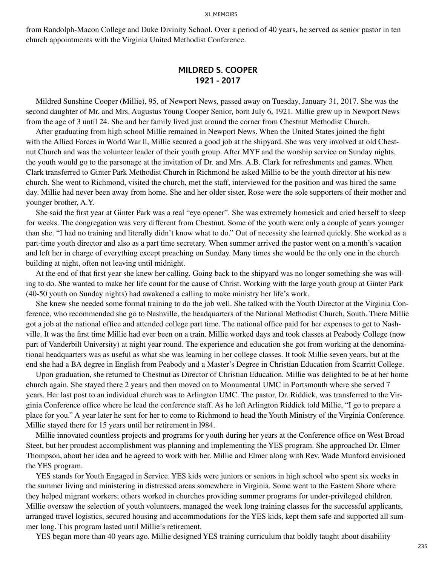from Randolph-Macon College and Duke Divinity School. Over a period of 40 years, he served as senior pastor in ten church appointments with the Virginia United Methodist Conference.

#### **MILDRED S. COOPER 1921 - 2017**

Mildred Sunshine Cooper (Millie), 95, of Newport News, passed away on Tuesday, January 31, 2017. She was the second daughter of Mr. and Mrs. Augustus Young Cooper Senior, born July 6, 1921. Millie grew up in Newport News from the age of 3 until 24. She and her family lived just around the corner from Chestnut Methodist Church.

After graduating from high school Millie remained in Newport News. When the United States joined the fight with the Allied Forces in World War ll, Millie secured a good job at the shipyard. She was very involved at old Chestnut Church and was the volunteer leader of their youth group. After MYF and the worship service on Sunday nights, the youth would go to the parsonage at the invitation of Dr. and Mrs. A.B. Clark for refreshments and games. When Clark transferred to Ginter Park Methodist Church in Richmond he asked Millie to be the youth director at his new church. She went to Richmond, visited the church, met the staff, interviewed for the position and was hired the same day. Millie had never been away from home. She and her older sister, Rose were the sole supporters of their mother and younger brother, A.Y.

She said the first year at Ginter Park was a real "eye opener". She was extremely homesick and cried herself to sleep for weeks. The congregation was very different from Chestnut. Some of the youth were only a couple of years younger than she. "I had no training and literally didn't know what to do." Out of necessity she learned quickly. She worked as a part-time youth director and also as a part time secretary. When summer arrived the pastor went on a month's vacation and left her in charge of everything except preaching on Sunday. Many times she would be the only one in the church building at night, often not leaving until midnight.

At the end of that first year she knew her calling. Going back to the shipyard was no longer something she was willing to do. She wanted to make her life count for the cause of Christ. Working with the large youth group at Ginter Park (40-50 youth on Sunday nights) had awakened a calling to make ministry her life's work.

She knew she needed some formal training to do the job well. She talked with the Youth Director at the Virginia Conference, who recommended she go to Nashville, the headquarters of the National Methodist Church, South. There Millie got a job at the national office and attended college part time. The national office paid for her expenses to get to Nashville. It was the first time Millie had ever been on a train. Millie worked days and took classes at Peabody College (now part of Vanderbilt University) at night year round. The experience and education she got from working at the denominational headquarters was as useful as what she was learning in her college classes. It took Millie seven years, but at the end she had a BA degree in English from Peabody and a Master's Degree in Christian Education from Scarritt College.

Upon graduation, she returned to Chestnut as Director of Christian Education. Millie was delighted to be at her home church again. She stayed there 2 years and then moved on to Monumental UMC in Portsmouth where she served 7 years. Her last post to an individual church was to Arlington UMC. The pastor, Dr. Riddick, was transferred to the Virginia Conference office where he lead the conference staff. As he left Arlington Riddick told Millie, "I go to prepare a place for you." A year later he sent for her to come to Richmond to head the Youth Ministry of the Virginia Conference. Millie stayed there for 15 years until her retirement in l984.

Millie innovated countless projects and programs for youth during her years at the Conference office on West Broad Steet, but her proudest accomplishment was planning and implementing the YES program. She approached Dr. Elmer Thompson, about her idea and he agreed to work with her. Millie and Elmer along with Rev. Wade Munford envisioned the YES program.

YES stands for Youth Engaged in Service. YES kids were juniors or seniors in high school who spent six weeks in the summer living and ministering in distressed areas somewhere in Virginia. Some went to the Eastern Shore where they helped migrant workers; others worked in churches providing summer programs for under-privileged children. Millie oversaw the selection of youth volunteers, managed the week long training classes for the successful applicants, arranged travel logistics, secured housing and accommodations for the YES kids, kept them safe and supported all summer long. This program lasted until Millie's retirement.

YES began more than 40 years ago. Millie designed YES training curriculum that boldly taught about disability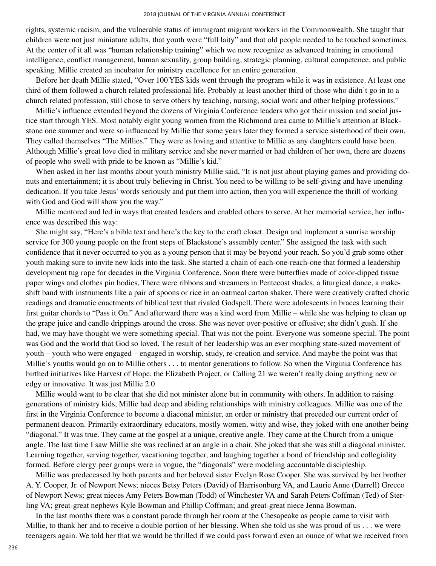rights, systemic racism, and the vulnerable status of immigrant migrant workers in the Commonwealth. She taught that children were not just miniature adults, that youth were "full laity" and that old people needed to be touched sometimes. At the center of it all was "human relationship training" which we now recognize as advanced training in emotional intelligence, conflict management, human sexuality, group building, strategic planning, cultural competence, and public speaking. Millie created an incubator for ministry excellence for an entire generation.

Before her death Millie stated, "Over 100 YES kids went through the program while it was in existence. At least one third of them followed a church related professional life. Probably at least another third of those who didn't go in to a church related profession, still chose to serve others by teaching, nursing, social work and other helping professions."

Millie's influence extended beyond the dozens of Virginia Conference leaders who got their mission and social justice start through YES. Most notably eight young women from the Richmond area came to Millie's attention at Blackstone one summer and were so influenced by Millie that some years later they formed a service sisterhood of their own. They called themselves "The Millies." They were as loving and attentive to Millie as any daughters could have been. Although Millie's great love died in military service and she never married or had children of her own, there are dozens of people who swell with pride to be known as "Millie's kid."

When asked in her last months about youth ministry Millie said, "It is not just about playing games and providing donuts and entertainment; it is about truly believing in Christ. You need to be willing to be self-giving and have unending dedication. If you take Jesus' words seriously and put them into action, then you will experience the thrill of working with God and God will show you the way."

Millie mentored and led in ways that created leaders and enabled others to serve. At her memorial service, her influence was described this way:

She might say, "Here's a bible text and here's the key to the craft closet. Design and implement a sunrise worship service for 300 young people on the front steps of Blackstone's assembly center." She assigned the task with such confidence that it never occurred to you as a young person that it may be beyond your reach. So you'd grab some other youth making sure to invite new kids into the task. She started a chain of each-one-reach-one that formed a leadership development tug rope for decades in the Virginia Conference. Soon there were butterflies made of color-dipped tissue paper wings and clothes pin bodies, There were ribbons and streamers in Pentecost shades, a liturgical dance, a makeshift band with instruments like a pair of spoons or rice in an oatmeal carton shaker. There were creatively crafted choric readings and dramatic enactments of biblical text that rivaled Godspell. There were adolescents in braces learning their first guitar chords to "Pass it On." And afterward there was a kind word from Millie – while she was helping to clean up the grape juice and candle drippings around the cross. She was never over-positive or effusive; she didn't gush. If she had, we may have thought we were something special. That was not the point. Everyone was someone special. The point was God and the world that God so loved. The result of her leadership was an ever morphing state-sized movement of youth – youth who were engaged – engaged in worship, study, re-creation and service. And maybe the point was that Millie's youths would go on to Millie others . . . to mentor generations to follow. So when the Virginia Conference has birthed initiatives like Harvest of Hope, the Elizabeth Project, or Calling 21 we weren't really doing anything new or edgy or innovative. It was just Millie 2.0

Millie would want to be clear that she did not minister alone but in community with others. In addition to raising generations of ministry kids, Millie had deep and abiding relationships with ministry colleagues. Millie was one of the first in the Virginia Conference to become a diaconal minister, an order or ministry that preceded our current order of permanent deacon. Primarily extraordinary educators, mostly women, witty and wise, they joked with one another being "diagonal." It was true. They came at the gospel at a unique, creative angle. They came at the Church from a unique angle. The last time I saw Millie she was reclined at an angle in a chair. She joked that she was still a diagonal minister. Learning together, serving together, vacationing together, and laughing together a bond of friendship and collegiality formed. Before clergy peer groups were in vogue, the "diagonals" were modeling accountable discipleship.

Millie was predeceased by both parents and her beloved sister Evelyn Rose Cooper. She was survived by her brother A. Y. Cooper, Jr. of Newport News; nieces Betsy Peters (David) of Harrisonburg VA, and Laurie Anne (Darrell) Grecco of Newport News; great nieces Amy Peters Bowman (Todd) of Winchester VA and Sarah Peters Coffman (Ted) of Sterling VA; great-great nephews Kyle Bowman and Phillip Coffman; and great-great niece Jenna Bowman.

In the last months there was a constant parade through her room at the Chesapeake as people came to visit with Millie, to thank her and to receive a double portion of her blessing. When she told us she was proud of us . . . we were teenagers again. We told her that we would be thrilled if we could pass forward even an ounce of what we received from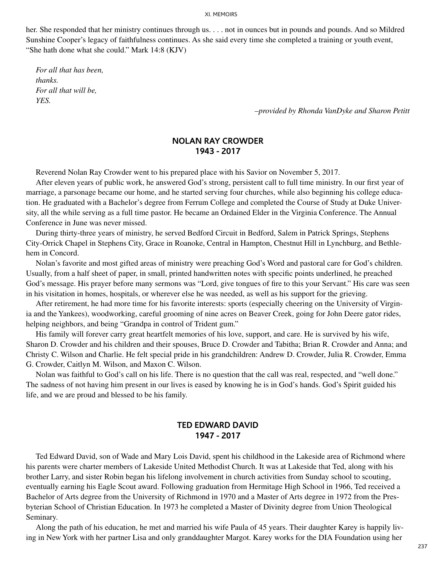her. She responded that her ministry continues through us. . . . not in ounces but in pounds and pounds. And so Mildred Sunshine Cooper's legacy of faithfulness continues. As she said every time she completed a training or youth event, "She hath done what she could." Mark 14:8 (KJV)

*For all that has been, thanks. For all that will be, YES.*

*–provided by Rhonda VanDyke and Sharon Petitt*

### **NOLAN RAY CROWDER 1943 - 2017**

Reverend Nolan Ray Crowder went to his prepared place with his Savior on November 5, 2017.

After eleven years of public work, he answered God's strong, persistent call to full time ministry. In our first year of marriage, a parsonage became our home, and he started serving four churches, while also beginning his college education. He graduated with a Bachelor's degree from Ferrum College and completed the Course of Study at Duke University, all the while serving as a full time pastor. He became an Ordained Elder in the Virginia Conference. The Annual Conference in June was never missed.

During thirty-three years of ministry, he served Bedford Circuit in Bedford, Salem in Patrick Springs, Stephens City-Orrick Chapel in Stephens City, Grace in Roanoke, Central in Hampton, Chestnut Hill in Lynchburg, and Bethlehem in Concord.

Nolan's favorite and most gifted areas of ministry were preaching God's Word and pastoral care for God's children. Usually, from a half sheet of paper, in small, printed handwritten notes with specific points underlined, he preached God's message. His prayer before many sermons was "Lord, give tongues of fire to this your Servant." His care was seen in his visitation in homes, hospitals, or wherever else he was needed, as well as his support for the grieving.

After retirement, he had more time for his favorite interests: sports (especially cheering on the University of Virginia and the Yankees), woodworking, careful grooming of nine acres on Beaver Creek, going for John Deere gator rides, helping neighbors, and being "Grandpa in control of Trident gum."

His family will forever carry great heartfelt memories of his love, support, and care. He is survived by his wife, Sharon D. Crowder and his children and their spouses, Bruce D. Crowder and Tabitha; Brian R. Crowder and Anna; and Christy C. Wilson and Charlie. He felt special pride in his grandchildren: Andrew D. Crowder, Julia R. Crowder, Emma G. Crowder, Caitlyn M. Wilson, and Maxon C. Wilson.

Nolan was faithful to God's call on his life. There is no question that the call was real, respected, and "well done." The sadness of not having him present in our lives is eased by knowing he is in God's hands. God's Spirit guided his life, and we are proud and blessed to be his family.

#### **TED EDWARD DAVID 1947 - 2017**

Ted Edward David, son of Wade and Mary Lois David, spent his childhood in the Lakeside area of Richmond where his parents were charter members of Lakeside United Methodist Church. It was at Lakeside that Ted, along with his brother Larry, and sister Robin began his lifelong involvement in church activities from Sunday school to scouting, eventually earning his Eagle Scout award. Following graduation from Hermitage High School in 1966, Ted received a Bachelor of Arts degree from the University of Richmond in 1970 and a Master of Arts degree in 1972 from the Presbyterian School of Christian Education. In 1973 he completed a Master of Divinity degree from Union Theological Seminary.

Along the path of his education, he met and married his wife Paula of 45 years. Their daughter Karey is happily living in New York with her partner Lisa and only granddaughter Margot. Karey works for the DIA Foundation using her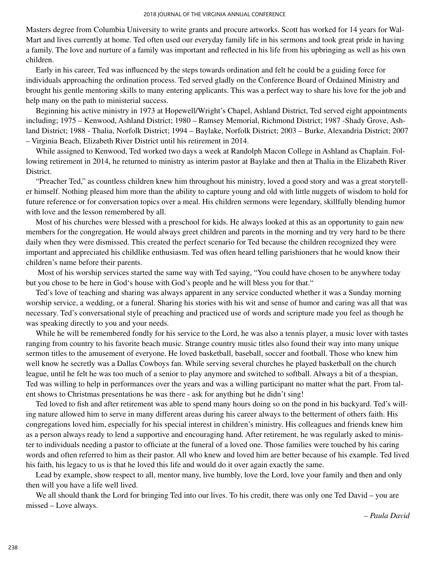Masters degree from Columbia University to write grants and procure artworks. Scott has worked for 14 years for Wal-Mart and lives currently at home. Ted often used our everyday family life in his sermons and took great pride in having a family. The love and nurture of a family was important and reflected in his life from his upbringing as well as his own children.

Early in his career, Ted was influenced by the steps towards ordination and felt he could be a guiding force for individuals approaching the ordination process. Ted served gladly on the Conference Board of Ordained Ministry and brought his gentle mentoring skills to many entering applicants. This was a perfect way to share his love for the job and help many on the path to ministerial success.

Beginning his active ministry in 1973 at Hopewell/Wright's Chapel, Ashland District, Ted served eight appointments including; 1975 – Kenwood, Ashland District; 1980 – Ramsey Memorial, Richmond District; 1987 -Shady Grove, Ashland District; 1988 - Thalia, Norfolk District; 1994 – Baylake, Norfolk District; 2003 – Burke, Alexandria District; 2007 – Virginia Beach, Elizabeth River District until his retirement in 2014.

While assigned to Kenwood, Ted worked two days a week at Randolph Macon College in Ashland as Chaplain. Following retirement in 2014, he returned to ministry as interim pastor at Baylake and then at Thalia in the Elizabeth River District.

"Preacher Ted," as countless children knew him throughout his ministry, loved a good story and was a great storyteller himself. Nothing pleased him more than the ability to capture young and old with little nuggets of wisdom to hold for future reference or for conversation topics over a meal. His children sermons were legendary, skillfully blending humor with love and the lesson remembered by all.

Most of his churches were blessed with a preschool for kids. He always looked at this as an opportunity to gain new members for the congregation. He would always greet children and parents in the morning and try very hard to be there daily when they were dismissed. This created the perfect scenario for Ted because the children recognized they were important and appreciated his childlike enthusiasm. Ted was often heard telling parishioners that he would know their children's name before their parents.

Most of his worship services started the same way with Ted saying, "You could have chosen to be anywhere today but you chose to be here in God's house with God's people and he will bless you for that."

Ted's love of teaching and sharing was always apparent in any service conducted whether it was a Sunday morning worship service, a wedding, or a funeral. Sharing his stories with his wit and sense of humor and caring was all that was necessary. Ted's conversational style of preaching and practiced use of words and scripture made you feel as though he was speaking directly to you and your needs.

While he will be remembered fondly for his service to the Lord, he was also a tennis player, a music lover with tastes ranging from country to his favorite beach music. Strange country music titles also found their way into many unique sermon titles to the amusement of everyone. He loved basketball, baseball, soccer and football. Those who knew him well know he secretly was a Dallas Cowboys fan. While serving several churches he played basketball on the church league, until he felt he was too much of a senior to play anymore and switched to softball. Always a bit of a thespian, Ted was willing to help in performances over the years and was a willing participant no matter what the part. From talent shows to Christmas presentations he was there - ask for anything but he didn't sing!

Ted loved to fish and after retirement was able to spend many hours doing so on the pond in his backyard. Ted's willing nature allowed him to serve in many different areas during his career always to the betterment of others faith. His congregations loved him, especially for his special interest in children's ministry. His colleagues and friends knew him as a person always ready to lend a supportive and encouraging hand. After retirement, he was regularly asked to minister to individuals needing a pastor to officiate at the funeral of a loved one. Those families were touched by his caring words and often referred to him as their pastor. All who knew and loved him are better because of his example. Ted lived his faith, his legacy to us is that he loved this life and would do it over again exactly the same.

Lead by example, show respect to all, mentor many, live humbly, love the Lord, love your family and then and only then will you have a life well lived.

We all should thank the Lord for bringing Ted into our lives. To his credit, there was only one Ted David – you are missed – Love always.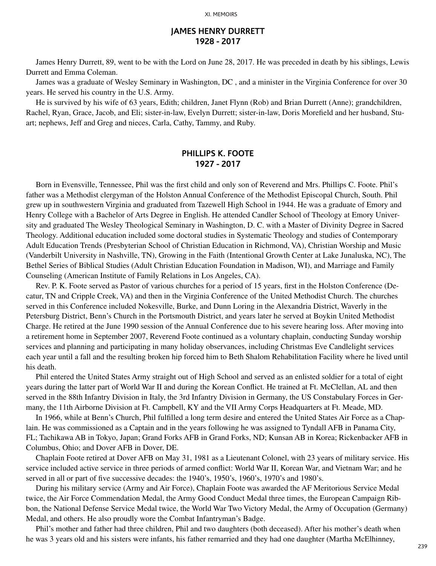#### **JAMES HENRY DURRETT 1928 - 2017**

James Henry Durrett, 89, went to be with the Lord on June 28, 2017. He was preceded in death by his siblings, Lewis Durrett and Emma Coleman.

James was a graduate of Wesley Seminary in Washington, DC , and a minister in the Virginia Conference for over 30 years. He served his country in the U.S. Army.

He is survived by his wife of 63 years, Edith; children, Janet Flynn (Rob) and Brian Durrett (Anne); grandchildren, Rachel, Ryan, Grace, Jacob, and Eli; sister-in-law, Evelyn Durrett; sister-in-law, Doris Morefield and her husband, Stuart; nephews, Jeff and Greg and nieces, Carla, Cathy, Tammy, and Ruby.

### **PHILLIPS K. FOOTE 1927 - 2017**

Born in Evensville, Tennessee, Phil was the first child and only son of Reverend and Mrs. Phillips C. Foote. Phil's father was a Methodist clergyman of the Holston Annual Conference of the Methodist Episcopal Church, South. Phil grew up in southwestern Virginia and graduated from Tazewell High School in 1944. He was a graduate of Emory and Henry College with a Bachelor of Arts Degree in English. He attended Candler School of Theology at Emory University and graduated The Wesley Theological Seminary in Washington, D. C. with a Master of Divinity Degree in Sacred Theology. Additional education included some doctoral studies in Systematic Theology and studies of Contemporary Adult Education Trends (Presbyterian School of Christian Education in Richmond, VA), Christian Worship and Music (Vanderbilt University in Nashville, TN), Growing in the Faith (Intentional Growth Center at Lake Junaluska, NC), The Bethel Series of Biblical Studies (Adult Christian Education Foundation in Madison, WI), and Marriage and Family Counseling (American Institute of Family Relations in Los Angeles, CA).

Rev. P. K. Foote served as Pastor of various churches for a period of 15 years, first in the Holston Conference (Decatur, TN and Cripple Creek, VA) and then in the Virginia Conference of the United Methodist Church. The churches served in this Conference included Nokesville, Burke, and Dunn Loring in the Alexandria District, Waverly in the Petersburg District, Benn's Church in the Portsmouth District, and years later he served at Boykin United Methodist Charge. He retired at the June 1990 session of the Annual Conference due to his severe hearing loss. After moving into a retirement home in September 2007, Reverend Foote continued as a voluntary chaplain, conducting Sunday worship services and planning and participating in many holiday observances, including Christmas Eve Candlelight services each year until a fall and the resulting broken hip forced him to Beth Shalom Rehabilitation Facility where he lived until his death.

Phil entered the United States Army straight out of High School and served as an enlisted soldier for a total of eight years during the latter part of World War II and during the Korean Conflict. He trained at Ft. McClellan, AL and then served in the 88th Infantry Division in Italy, the 3rd Infantry Division in Germany, the US Constabulary Forces in Germany, the 11th Airborne Division at Ft. Campbell, KY and the VII Army Corps Headquarters at Ft. Meade, MD.

In 1966, while at Benn's Church, Phil fulfilled a long term desire and entered the United States Air Force as a Chaplain. He was commissioned as a Captain and in the years following he was assigned to Tyndall AFB in Panama City, FL; Tachikawa AB in Tokyo, Japan; Grand Forks AFB in Grand Forks, ND; Kunsan AB in Korea; Rickenbacker AFB in Columbus, Ohio; and Dover AFB in Dover, DE.

Chaplain Foote retired at Dover AFB on May 31, 1981 as a Lieutenant Colonel, with 23 years of military service. His service included active service in three periods of armed conflict: World War II, Korean War, and Vietnam War; and he served in all or part of five successive decades: the 1940's, 1950's, 1960's, 1970's and 1980's.

During his military service (Army and Air Force), Chaplain Foote was awarded the AF Meritorious Service Medal twice, the Air Force Commendation Medal, the Army Good Conduct Medal three times, the European Campaign Ribbon, the National Defense Service Medal twice, the World War Two Victory Medal, the Army of Occupation (Germany) Medal, and others. He also proudly wore the Combat Infantryman's Badge.

Phil's mother and father had three children, Phil and two daughters (both deceased). After his mother's death when he was 3 years old and his sisters were infants, his father remarried and they had one daughter (Martha McElhinney,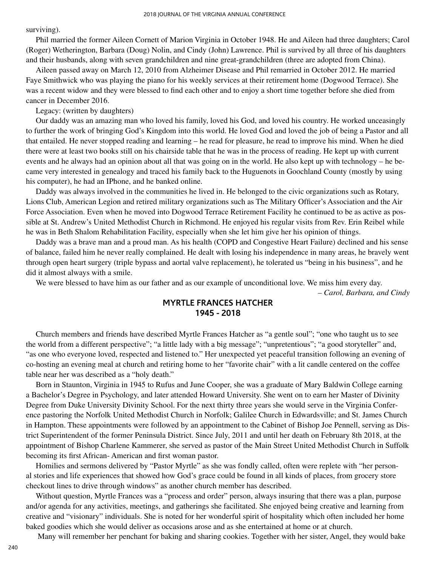surviving).

Phil married the former Aileen Cornett of Marion Virginia in October 1948. He and Aileen had three daughters; Carol (Roger) Wetherington, Barbara (Doug) Nolin, and Cindy (John) Lawrence. Phil is survived by all three of his daughters and their husbands, along with seven grandchildren and nine great-grandchildren (three are adopted from China).

Aileen passed away on March 12, 2010 from Alzheimer Disease and Phil remarried in October 2012. He married Faye Smithwick who was playing the piano for his weekly services at their retirement home (Dogwood Terrace). She was a recent widow and they were blessed to find each other and to enjoy a short time together before she died from cancer in December 2016.

Legacy: (written by daughters)

Our daddy was an amazing man who loved his family, loved his God, and loved his country. He worked unceasingly to further the work of bringing God's Kingdom into this world. He loved God and loved the job of being a Pastor and all that entailed. He never stopped reading and learning – he read for pleasure, he read to improve his mind. When he died there were at least two books still on his chairside table that he was in the process of reading. He kept up with current events and he always had an opinion about all that was going on in the world. He also kept up with technology – he became very interested in genealogy and traced his family back to the Huguenots in Goochland County (mostly by using his computer), he had an IPhone, and he banked online.

Daddy was always involved in the communities he lived in. He belonged to the civic organizations such as Rotary, Lions Club, American Legion and retired military organizations such as The Military Officer's Association and the Air Force Association. Even when he moved into Dogwood Terrace Retirement Facility he continued to be as active as possible at St. Andrew's United Methodist Church in Richmond. He enjoyed his regular visits from Rev. Erin Reibel while he was in Beth Shalom Rehabilitation Facility, especially when she let him give her his opinion of things.

Daddy was a brave man and a proud man. As his health (COPD and Congestive Heart Failure) declined and his sense of balance, failed him he never really complained. He dealt with losing his independence in many areas, he bravely went through open heart surgery (triple bypass and aortal valve replacement), he tolerated us "being in his business", and he did it almost always with a smile.

We were blessed to have him as our father and as our example of unconditional love. We miss him every day.

*– Carol, Barbara, and Cindy*

### **MYRTLE FRANCES HATCHER 1945 - 2018**

Church members and friends have described Myrtle Frances Hatcher as "a gentle soul"; "one who taught us to see the world from a different perspective"; "a little lady with a big message"; "unpretentious"; "a good storyteller" and, "as one who everyone loved, respected and listened to." Her unexpected yet peaceful transition following an evening of co-hosting an evening meal at church and retiring home to her "favorite chair" with a lit candle centered on the coffee table near her was described as a "holy death."

Born in Staunton, Virginia in 1945 to Rufus and June Cooper, she was a graduate of Mary Baldwin College earning a Bachelor's Degree in Psychology, and later attended Howard University. She went on to earn her Master of Divinity Degree from Duke University Divinity School. For the next thirty three years she would serve in the Virginia Conference pastoring the Norfolk United Methodist Church in Norfolk; Galilee Church in Edwardsville; and St. James Church in Hampton. These appointments were followed by an appointment to the Cabinet of Bishop Joe Pennell, serving as District Superintendent of the former Peninsula District. Since July, 2011 and until her death on February 8th 2018, at the appointment of Bishop Charlene Kammerer, she served as pastor of the Main Street United Methodist Church in Suffolk becoming its first African- American and first woman pastor.

Homilies and sermons delivered by "Pastor Myrtle" as she was fondly called, often were replete with "her personal stories and life experiences that showed how God's grace could be found in all kinds of places, from grocery store checkout lines to drive through windows" as another church member has described.

Without question, Myrtle Frances was a "process and order" person, always insuring that there was a plan, purpose and/or agenda for any activities, meetings, and gatherings she facilitated. She enjoyed being creative and learning from creative and "visionary" individuals. She is noted for her wonderful spirit of hospitality which often included her home baked goodies which she would deliver as occasions arose and as she entertained at home or at church.

Many will remember her penchant for baking and sharing cookies. Together with her sister, Angel, they would bake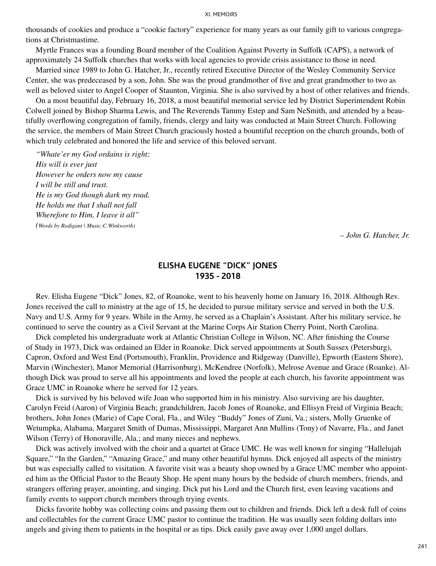thousands of cookies and produce a "cookie factory" experience for many years as our family gift to various congregations at Christmastime.

Myrtle Frances was a founding Board member of the Coalition Against Poverty in Suffolk (CAPS), a network of approximately 24 Suffolk churches that works with local agencies to provide crisis assistance to those in need.

Married since 1989 to John G. Hatcher, Jr., recently retired Executive Director of the Wesley Community Service Center, she was predeceased by a son, John. She was the proud grandmother of five and great grandmother to two as well as beloved sister to Angel Cooper of Staunton, Virginia. She is also survived by a host of other relatives and friends.

On a most beautiful day, February 16, 2018, a most beautiful memorial service led by District Superintendent Robin Colwell joined by Bishop Sharma Lewis, and The Reverends Tammy Estep and Sam NeSmith, and attended by a beautifully overflowing congregation of family, friends, clergy and laity was conducted at Main Street Church. Following the service, the members of Main Street Church graciously hosted a bountiful reception on the church grounds, both of which truly celebrated and honored the life and service of this beloved servant.

*"Whate'er my God ordains is right; His will is ever just However he orders now my cause I will be still and trust. He is my God though dark my road, He holds me that I shall not fall Wherefore to Him, I leave it all" (Words by Rodigant | Music:C.Winkworth)*

*– John G. Hatcher, Jr.*

### **ELISHA EUGENE "DICK" JONES 1935 - 2018**

Rev. Elisha Eugene "Dick" Jones, 82, of Roanoke, went to his heavenly home on January 16, 2018. Although Rev. Jones received the call to ministry at the age of 15, he decided to pursue military service and served in both the U.S. Navy and U.S. Army for 9 years. While in the Army, he served as a Chaplain's Assistant. After his military service, he continued to serve the country as a Civil Servant at the Marine Corps Air Station Cherry Point, North Carolina.

Dick completed his undergraduate work at Atlantic Christian College in Wilson, NC. After finishing the Course of Study in 1973, Dick was ordained an Elder in Roanoke. Dick served appointments at South Sussex (Petersburg), Capron, Oxford and West End (Portsmouth), Franklin, Providence and Ridgeway (Danville), Epworth (Eastern Shore), Marvin (Winchester), Manor Memorial (Harrisonburg), McKendree (Norfolk), Melrose Avenue and Grace (Roanke). Although Dick was proud to serve all his appointments and loved the people at each church, his favorite appointment was Grace UMC in Roanoke where he served for 12 years.

Dick is survived by his beloved wife Joan who supported him in his ministry. Also surviving are his daughter, Carolyn Freid (Aaron) of Virginia Beach; grandchildren, Jacob Jones of Roanoke, and Ellisyn Freid of Virginia Beach; brothers, John Jones (Marie) of Cape Coral, Fla., and Wiley "Buddy" Jones of Zuni, Va.; sisters, Molly Gruenke of Wetumpka, Alabama, Margaret Smith of Dumas, Mississippi, Margaret Ann Mullins (Tony) of Navarre, Fla., and Janet Wilson (Terry) of Honoraville, Ala.; and many nieces and nephews.

Dick was actively involved with the choir and a quartet at Grace UMC. He was well known for singing "Hallelujah Square," "In the Garden," "Amazing Grace," and many other beautiful hymns. Dick enjoyed all aspects of the ministry but was especially called to visitation. A favorite visit was a beauty shop owned by a Grace UMC member who appointed him as the Official Pastor to the Beauty Shop. He spent many hours by the bedside of church members, friends, and strangers offering prayer, anointing, and singing. Dick put his Lord and the Church first, even leaving vacations and family events to support church members through trying events.

Dicks favorite hobby was collecting coins and passing them out to children and friends. Dick left a desk full of coins and collectables for the current Grace UMC pastor to continue the tradition. He was usually seen folding dollars into angels and giving them to patients in the hospital or as tips. Dick easily gave away over 1,000 angel dollars.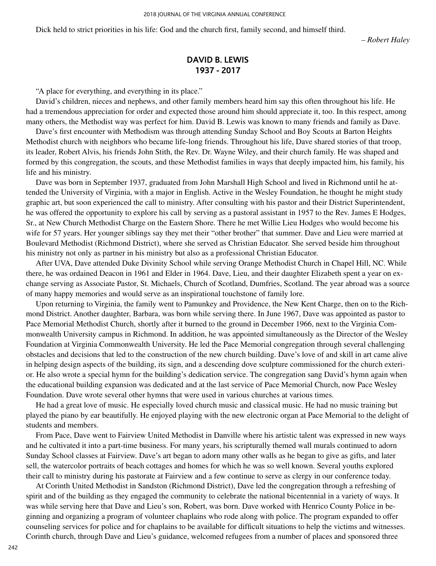Dick held to strict priorities in his life: God and the church first, family second, and himself third.

*– Robert Haley*

### **DAVID B. LEWIS 1937 - 2017**

"A place for everything, and everything in its place."

David's children, nieces and nephews, and other family members heard him say this often throughout his life. He had a tremendous appreciation for order and expected those around him should appreciate it, too. In this respect, among many others, the Methodist way was perfect for him. David B. Lewis was known to many friends and family as Dave.

Dave's first encounter with Methodism was through attending Sunday School and Boy Scouts at Barton Heights Methodist church with neighbors who became life-long friends. Throughout his life, Dave shared stories of that troop, its leader, Robert Alvis, his friends John Stith, the Rev. Dr. Wayne Wiley, and their church family. He was shaped and formed by this congregation, the scouts, and these Methodist families in ways that deeply impacted him, his family, his life and his ministry.

Dave was born in September 1937, graduated from John Marshall High School and lived in Richmond until he attended the University of Virginia, with a major in English. Active in the Wesley Foundation, he thought he might study graphic art, but soon experienced the call to ministry. After consulting with his pastor and their District Superintendent, he was offered the opportunity to explore his call by serving as a pastoral assistant in 1957 to the Rev. James E Hodges, Sr., at New Church Methodist Charge on the Eastern Shore. There he met Willie Lieu Hodges who would become his wife for 57 years. Her younger siblings say they met their "other brother" that summer. Dave and Lieu were married at Boulevard Methodist (Richmond District), where she served as Christian Educator. She served beside him throughout his ministry not only as partner in his ministry but also as a professional Christian Educator.

After UVA, Dave attended Duke Divinity School while serving Orange Methodist Church in Chapel Hill, NC. While there, he was ordained Deacon in 1961 and Elder in 1964. Dave, Lieu, and their daughter Elizabeth spent a year on exchange serving as Associate Pastor, St. Michaels, Church of Scotland, Dumfries, Scotland. The year abroad was a source of many happy memories and would serve as an inspirational touchstone of family lore.

Upon returning to Virginia, the family went to Pamunkey and Providence, the New Kent Charge, then on to the Richmond District. Another daughter, Barbara, was born while serving there. In June 1967, Dave was appointed as pastor to Pace Memorial Methodist Church, shortly after it burned to the ground in December 1966, next to the Virginia Commonwealth University campus in Richmond. In addition, he was appointed simultaneously as the Director of the Wesley Foundation at Virginia Commonwealth University. He led the Pace Memorial congregation through several challenging obstacles and decisions that led to the construction of the new church building. Dave's love of and skill in art came alive in helping design aspects of the building, its sign, and a descending dove sculpture commissioned for the church exterior. He also wrote a special hymn for the building's dedication service. The congregation sang David's hymn again when the educational building expansion was dedicated and at the last service of Pace Memorial Church, now Pace Wesley Foundation. Dave wrote several other hymns that were used in various churches at various times.

He had a great love of music. He especially loved church music and classical music. He had no music training but played the piano by ear beautifully. He enjoyed playing with the new electronic organ at Pace Memorial to the delight of students and members.

From Pace, Dave went to Fairview United Methodist in Danville where his artistic talent was expressed in new ways and he cultivated it into a part-time business. For many years, his scripturally themed wall murals continued to adorn Sunday School classes at Fairview. Dave's art began to adorn many other walls as he began to give as gifts, and later sell, the watercolor portraits of beach cottages and homes for which he was so well known. Several youths explored their call to ministry during his pastorate at Fairview and a few continue to serve as clergy in our conference today.

At Corinth United Methodist in Sandston (Richmond District), Dave led the congregation through a refreshing of spirit and of the building as they engaged the community to celebrate the national bicentennial in a variety of ways. It was while serving here that Dave and Lieu's son, Robert, was born. Dave worked with Henrico County Police in beginning and organizing a program of volunteer chaplains who rode along with police. The program expanded to offer counseling services for police and for chaplains to be available for difficult situations to help the victims and witnesses. Corinth church, through Dave and Lieu's guidance, welcomed refugees from a number of places and sponsored three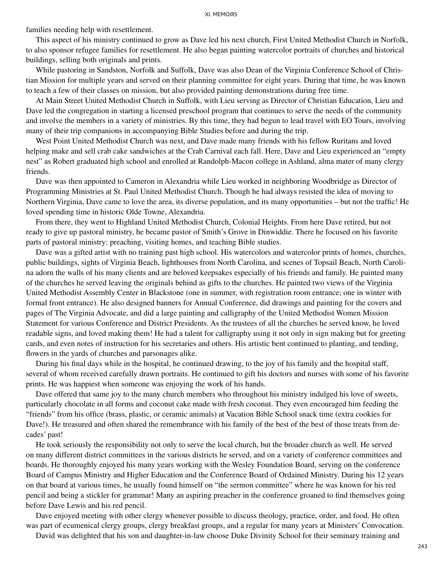families needing help with resettlement.

This aspect of his ministry continued to grow as Dave led his next church, First United Methodist Church in Norfolk, to also sponsor refugee families for resettlement. He also began painting watercolor portraits of churches and historical buildings, selling both originals and prints.

While pastoring in Sandston, Norfolk and Suffolk, Dave was also Dean of the Virginia Conference School of Christian Mission for multiple years and served on their planning committee for eight years. During that time, he was known to teach a few of their classes on mission, but also provided painting demonstrations during free time.

At Main Street United Methodist Church in Suffolk, with Lieu serving as Director of Christian Education, Lieu and Dave led the congregation in starting a licensed preschool program that continues to serve the needs of the community and involve the members in a variety of ministries. By this time, they had begun to lead travel with EO Tours, involving many of their trip companions in accompanying Bible Studies before and during the trip.

West Point United Methodist Church was next, and Dave made many friends with his fellow Ruritans and loved helping make and sell crab cake sandwiches at the Crab Carnival each fall. Here, Dave and Lieu experienced an "empty nest" as Robert graduated high school and enrolled at Randolph-Macon college in Ashland, alma mater of many clergy friends.

Dave was then appointed to Cameron in Alexandria while Lieu worked in neighboring Woodbridge as Director of Programming Ministries at St. Paul United Methodist Church. Though he had always resisted the idea of moving to Northern Virginia, Dave came to love the area, its diverse population, and its many opportunities – but not the traffic! He loved spending time in historic Olde Towne, Alexandria.

From there, they went to Highland United Methodist Church, Colonial Heights. From here Dave retired, but not ready to give up pastoral ministry, he became pastor of Smith's Grove in Dinwiddie. There he focused on his favorite parts of pastoral ministry: preaching, visiting homes, and teaching Bible studies.

Dave was a gifted artist with no training past high school. His watercolors and watercolor prints of homes, churches, public buildings, sights of Virginia Beach, lighthouses from North Carolina, and scenes of Topsail Beach, North Carolina adorn the walls of his many clients and are beloved keepsakes especially of his friends and family. He painted many of the churches he served leaving the originals behind as gifts to the churches. He painted two views of the Virginia United Methodist Assembly Center in Blackstone (one in summer, with registration room entrance; one in winter with formal front entrance). He also designed banners for Annual Conference, did drawings and painting for the covers and pages of The Virginia Advocate, and did a large painting and calligraphy of the United Methodist Women Mission Statement for various Conference and District Presidents. As the trustees of all the churches he served know, he loved readable signs, and loved making them! He had a talent for calligraphy using it not only in sign making but for greeting cards, and even notes of instruction for his secretaries and others. His artistic bent continued to planting, and tending, flowers in the yards of churches and parsonages alike.

During his final days while in the hospital, he continued drawing, to the joy of his family and the hospital staff, several of whom received carefully drawn portraits. He continued to gift his doctors and nurses with some of his favorite prints. He was happiest when someone was enjoying the work of his hands.

Dave offered that same joy to the many church members who throughout his ministry indulged his love of sweets, particularly chocolate in all forms and coconut cake made with fresh coconut. They even encouraged him feeding the "friends" from his office (brass, plastic, or ceramic animals) at Vacation Bible School snack time (extra cookies for Dave!). He treasured and often shared the remembrance with his family of the best of the best of those treats from decades' past!

He took seriously the responsibility not only to serve the local church, but the broader church as well. He served on many different district committees in the various districts he served, and on a variety of conference committees and boards. He thoroughly enjoyed his many years working with the Wesley Foundation Board, serving on the conference Board of Campus Ministry and Higher Education and the Conference Board of Ordained Ministry. During his 12 years on that board at various times, he usually found himself on "the sermon committee" where he was known for his red pencil and being a stickler for grammar! Many an aspiring preacher in the conference groaned to find themselves going before Dave Lewis and his red pencil.

Dave enjoyed meeting with other clergy whenever possible to discuss theology, practice, order, and food. He often was part of ecumenical clergy groups, clergy breakfast groups, and a regular for many years at Ministers' Convocation.

David was delighted that his son and daughter-in-law choose Duke Divinity School for their seminary training and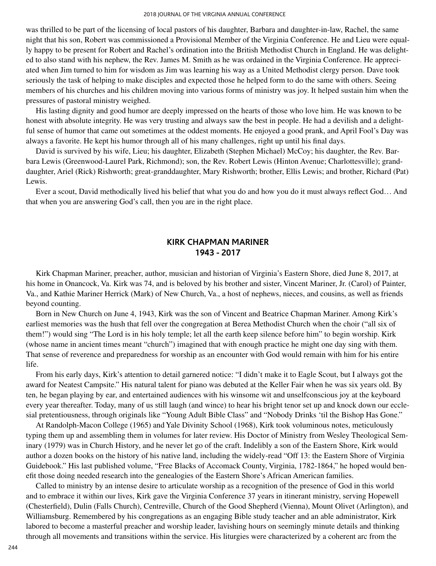was thrilled to be part of the licensing of local pastors of his daughter, Barbara and daughter-in-law, Rachel, the same night that his son, Robert was commissioned a Provisional Member of the Virginia Conference. He and Lieu were equally happy to be present for Robert and Rachel's ordination into the British Methodist Church in England. He was delighted to also stand with his nephew, the Rev. James M. Smith as he was ordained in the Virginia Conference. He appreciated when Jim turned to him for wisdom as Jim was learning his way as a United Methodist clergy person. Dave took seriously the task of helping to make disciples and expected those he helped form to do the same with others. Seeing members of his churches and his children moving into various forms of ministry was joy. It helped sustain him when the pressures of pastoral ministry weighed.

His lasting dignity and good humor are deeply impressed on the hearts of those who love him. He was known to be honest with absolute integrity. He was very trusting and always saw the best in people. He had a devilish and a delightful sense of humor that came out sometimes at the oddest moments. He enjoyed a good prank, and April Fool's Day was always a favorite. He kept his humor through all of his many challenges, right up until his final days.

David is survived by his wife, Lieu; his daughter, Elizabeth (Stephen Michael) McCoy; his daughter, the Rev. Barbara Lewis (Greenwood-Laurel Park, Richmond); son, the Rev. Robert Lewis (Hinton Avenue; Charlottesville); granddaughter, Ariel (Rick) Rishworth; great-granddaughter, Mary Rishworth; brother, Ellis Lewis; and brother, Richard (Pat) Lewis.

Ever a scout, David methodically lived his belief that what you do and how you do it must always reflect God… And that when you are answering God's call, then you are in the right place.

#### **KIRK CHAPMAN MARINER 1943 - 2017**

Kirk Chapman Mariner, preacher, author, musician and historian of Virginia's Eastern Shore, died June 8, 2017, at his home in Onancock, Va. Kirk was 74, and is beloved by his brother and sister, Vincent Mariner, Jr. (Carol) of Painter, Va., and Kathie Mariner Herrick (Mark) of New Church, Va., a host of nephews, nieces, and cousins, as well as friends beyond counting.

Born in New Church on June 4, 1943, Kirk was the son of Vincent and Beatrice Chapman Mariner. Among Kirk's earliest memories was the hush that fell over the congregation at Berea Methodist Church when the choir ("all six of them!") would sing "The Lord is in his holy temple; let all the earth keep silence before him" to begin worship. Kirk (whose name in ancient times meant "church") imagined that with enough practice he might one day sing with them. That sense of reverence and preparedness for worship as an encounter with God would remain with him for his entire life.

From his early days, Kirk's attention to detail garnered notice: "I didn't make it to Eagle Scout, but I always got the award for Neatest Campsite." His natural talent for piano was debuted at the Keller Fair when he was six years old. By ten, he began playing by ear, and entertained audiences with his winsome wit and unselfconscious joy at the keyboard every year thereafter. Today, many of us still laugh (and wince) to hear his bright tenor set up and knock down our ecclesial pretentiousness, through originals like "Young Adult Bible Class" and "Nobody Drinks 'til the Bishop Has Gone."

At Randolph-Macon College (1965) and Yale Divinity School (1968), Kirk took voluminous notes, meticulously typing them up and assembling them in volumes for later review. His Doctor of Ministry from Wesley Theological Seminary (1979) was in Church History, and he never let go of the craft. Indelibly a son of the Eastern Shore, Kirk would author a dozen books on the history of his native land, including the widely-read "Off 13: the Eastern Shore of Virginia Guidebook." His last published volume, "Free Blacks of Accomack County, Virginia, 1782-1864," he hoped would benefit those doing needed research into the genealogies of the Eastern Shore's African American families.

Called to ministry by an intense desire to articulate worship as a recognition of the presence of God in this world and to embrace it within our lives, Kirk gave the Virginia Conference 37 years in itinerant ministry, serving Hopewell (Chesterfield), Dulin (Falls Church), Centreville, Church of the Good Shepherd (Vienna), Mount Olivet (Arlington), and Williamsburg. Remembered by his congregations as an engaging Bible study teacher and an able administrator, Kirk labored to become a masterful preacher and worship leader, lavishing hours on seemingly minute details and thinking through all movements and transitions within the service. His liturgies were characterized by a coherent arc from the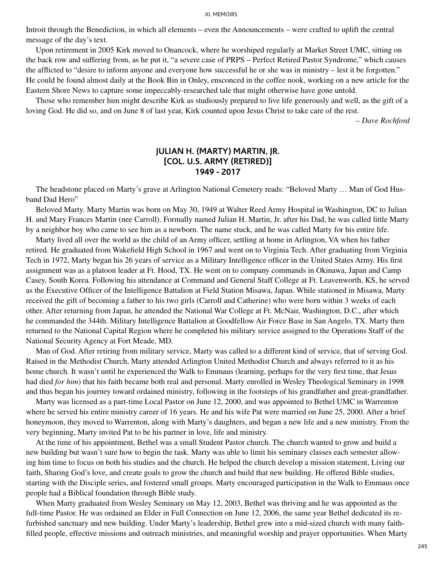Introit through the Benediction, in which all elements – even the Announcements – were crafted to uplift the central message of the day's text.

Upon retirement in 2005 Kirk moved to Onancock, where he worshiped regularly at Market Street UMC, sitting on the back row and suffering from, as he put it, "a severe case of PRPS – Perfect Retired Pastor Syndrome," which causes the afflicted to "desire to inform anyone and everyone how successful he or she was in ministry – lest it be forgotten." He could be found almost daily at the Book Bin in Onley, ensconced in the coffee nook, working on a new article for the Eastern Shore News to capture some impeccably-researched tale that might otherwise have gone untold.

Those who remember him might describe Kirk as studiously prepared to live life generously and well, as the gift of a loving God. He did so, and on June 8 of last year, Kirk counted upon Jesus Christ to take care of the rest.

*– Dave Rochford*

#### **JULIAN H. (MARTY) MARTIN, JR. [COL. U.S. ARMY (RETIRED)] 1949 - 2017**

The headstone placed on Marty's grave at Arlington National Cemetery reads: "Beloved Marty … Man of God Husband Dad Hero"

Beloved Marty. Marty Martin was born on May 30, 1949 at Walter Reed Army Hospital in Washington, DC to Julian H. and Mary Frances Martin (nee Carroll). Formally named Julian H. Martin, Jr. after his Dad, he was called little Marty by a neighbor boy who came to see him as a newborn. The name stuck, and he was called Marty for his entire life.

Marty lived all over the world as the child of an Army officer, settling at home in Arlington, VA when his father retired. He graduated from Wakefield High School in 1967 and went on to Virginia Tech. After graduating from Virginia Tech in 1972, Marty began his 26 years of service as a Military Intelligence officer in the United States Army. His first assignment was as a platoon leader at Ft. Hood, TX. He went on to company commands in Okinawa, Japan and Camp Casey, South Korea. Following his attendance at Command and General Staff College at Ft. Leavenworth, KS, he served as the Executive Officer of the Intelligence Battalion at Field Station Misawa, Japan. While stationed in Misawa, Marty received the gift of becoming a father to his two girls (Carroll and Catherine) who were born within 3 weeks of each other. After returning from Japan, he attended the National War College at Ft. McNair, Washington, D.C., after which he commanded the 344th. Military Intelligence Battalion at Goodfellow Air Force Base in San Angelo, TX. Marty then returned to the National Capital Region where he completed his military service assigned to the Operations Staff of the National Security Agency at Fort Meade, MD.

Man of God. After retiring from military service, Marty was called to a different kind of service, that of serving God. Raised in the Methodist Church, Marty attended Arlington United Methodist Church and always referred to it as his home church. It wasn't until he experienced the Walk to Emmaus (learning, perhaps for the very first time, that Jesus had died *for him*) that his faith became both real and personal. Marty enrolled in Wesley Theological Seminary in 1998 and thus began his journey toward ordained ministry, following in the footsteps of his grandfather and great-grandfather.

Marty was licensed as a part-time Local Pastor on June 12, 2000, and was appointed to Bethel UMC in Warrenton where he served his entire ministry career of 16 years. He and his wife Pat were married on June 25, 2000. After a brief honeymoon, they moved to Warrenton, along with Marty's daughters, and began a new life and a new ministry. From the very beginning, Marty invited Pat to be his partner in love, life and ministry.

At the time of his appointment, Bethel was a small Student Pastor church. The church wanted to grow and build a new building but wasn't sure how to begin the task. Marty was able to limit his seminary classes each semester allowing him time to focus on both his studies and the church. He helped the church develop a mission statement, Living our faith, Sharing God's love, and create goals to grow the church and build that new building. He offered Bible studies, starting with the Disciple series, and fostered small groups. Marty encouraged participation in the Walk to Emmaus once people had a Biblical foundation through Bible study.

When Marty graduated from Wesley Seminary on May 12, 2003, Bethel was thriving and he was appointed as the full-time Pastor. He was ordained an Elder in Full Connection on June 12, 2006, the same year Bethel dedicated its refurbished sanctuary and new building. Under Marty's leadership, Bethel grew into a mid-sized church with many faithfilled people, effective missions and outreach ministries, and meaningful worship and prayer opportunities. When Marty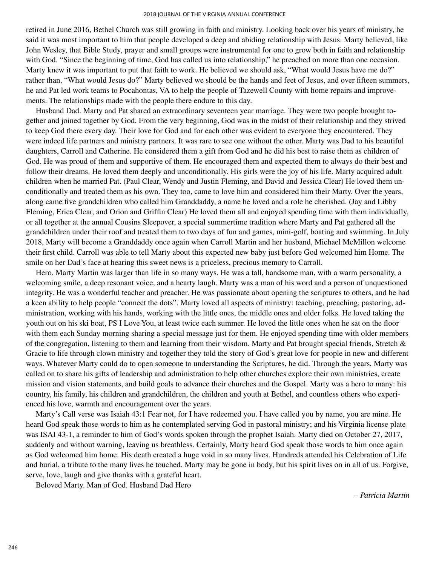retired in June 2016, Bethel Church was still growing in faith and ministry. Looking back over his years of ministry, he said it was most important to him that people developed a deep and abiding relationship with Jesus. Marty believed, like John Wesley, that Bible Study, prayer and small groups were instrumental for one to grow both in faith and relationship with God. "Since the beginning of time, God has called us into relationship," he preached on more than one occasion. Marty knew it was important to put that faith to work. He believed we should ask, "What would Jesus have me do?" rather than, "What would Jesus do?" Marty believed we should be the hands and feet of Jesus, and over fifteen summers, he and Pat led work teams to Pocahontas, VA to help the people of Tazewell County with home repairs and improvements. The relationships made with the people there endure to this day.

Husband Dad. Marty and Pat shared an extraordinary seventeen year marriage. They were two people brought together and joined together by God. From the very beginning, God was in the midst of their relationship and they strived to keep God there every day. Their love for God and for each other was evident to everyone they encountered. They were indeed life partners and ministry partners. It was rare to see one without the other. Marty was Dad to his beautiful daughters, Carroll and Catherine. He considered them a gift from God and he did his best to raise them as children of God. He was proud of them and supportive of them. He encouraged them and expected them to always do their best and follow their dreams. He loved them deeply and unconditionally. His girls were the joy of his life. Marty acquired adult children when he married Pat. (Paul Clear, Wendy and Justin Fleming, and David and Jessica Clear) He loved them unconditionally and treated them as his own. They too, came to love him and considered him their Marty. Over the years, along came five grandchildren who called him Granddaddy, a name he loved and a role he cherished. (Jay and Libby Fleming, Erica Clear, and Orion and Griffin Clear) He loved them all and enjoyed spending time with them individually, or all together at the annual Cousins Sleepover, a special summertime tradition where Marty and Pat gathered all the grandchildren under their roof and treated them to two days of fun and games, mini-golf, boating and swimming. In July 2018, Marty will become a Granddaddy once again when Carroll Martin and her husband, Michael McMillon welcome their first child. Carroll was able to tell Marty about this expected new baby just before God welcomed him Home. The smile on her Dad's face at hearing this sweet news is a priceless, precious memory to Carroll.

Hero. Marty Martin was larger than life in so many ways. He was a tall, handsome man, with a warm personality, a welcoming smile, a deep resonant voice, and a hearty laugh. Marty was a man of his word and a person of unquestioned integrity. He was a wonderful teacher and preacher. He was passionate about opening the scriptures to others, and he had a keen ability to help people "connect the dots". Marty loved all aspects of ministry: teaching, preaching, pastoring, administration, working with his hands, working with the little ones, the middle ones and older folks. He loved taking the youth out on his ski boat, PS I Love You, at least twice each summer. He loved the little ones when he sat on the floor with them each Sunday morning sharing a special message just for them. He enjoyed spending time with older members of the congregation, listening to them and learning from their wisdom. Marty and Pat brought special friends, Stretch  $\&$ Gracie to life through clown ministry and together they told the story of God's great love for people in new and different ways. Whatever Marty could do to open someone to understanding the Scriptures, he did. Through the years, Marty was called on to share his gifts of leadership and administration to help other churches explore their own ministries, create mission and vision statements, and build goals to advance their churches and the Gospel. Marty was a hero to many: his country, his family, his children and grandchildren, the children and youth at Bethel, and countless others who experienced his love, warmth and encouragement over the years.

Marty's Call verse was Isaiah 43:1 Fear not, for I have redeemed you. I have called you by name, you are mine. He heard God speak those words to him as he contemplated serving God in pastoral ministry; and his Virginia license plate was ISAI 43-1, a reminder to him of God's words spoken through the prophet Isaiah. Marty died on October 27, 2017, suddenly and without warning, leaving us breathless. Certainly, Marty heard God speak those words to him once again as God welcomed him home. His death created a huge void in so many lives. Hundreds attended his Celebration of Life and burial, a tribute to the many lives he touched. Marty may be gone in body, but his spirit lives on in all of us. Forgive, serve, love, laugh and give thanks with a grateful heart.

Beloved Marty. Man of God. Husband Dad Hero

*– Patricia Martin*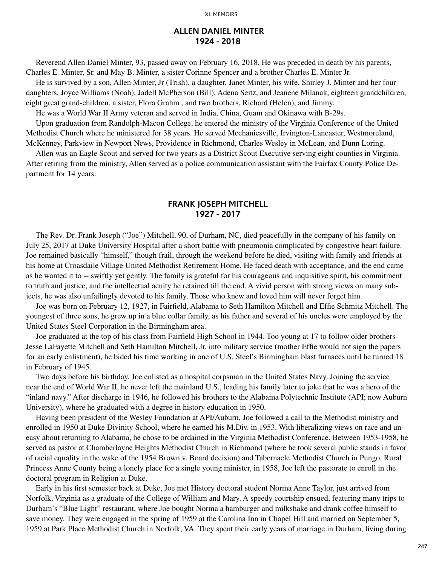#### **ALLEN DANIEL MINTER 1924 - 2018**

Reverend Allen Daniel Minter, 93, passed away on February 16, 2018. He was preceded in death by his parents, Charles E. Minter, Sr. and May B. Minter, a sister Corinne Spencer and a brother Charles E. Minter Jr.

He is survived by a son, Allen Minter, Jr (Trish), a daughter, Janet Minter, his wife, Shirley J. Minter and her four daughters, Joyce Williams (Noah), Jadell McPherson (Bill), Adena Seitz, and Jeanene Milanak, eighteen grandchildren, eight great grand-children, a sister, Flora Grahm , and two brothers, Richard (Helen), and Jimmy.

He was a World War II Army veteran and served in India, China, Guam and Okinawa with B-29s.

Upon graduation from Randolph-Macon College, he entered the ministry of the Virginia Conference of the United Methodist Church where he ministered for 38 years. He served Mechanicsville, Irvington-Lancaster, Westmoreland, McKenney, Parkview in Newport News, Providence in Richmond, Charles Wesley in McLean, and Dunn Loring.

Allen was an Eagle Scout and served for two years as a District Scout Executive serving eight counties in Virginia. After retiring from the ministry, Allen served as a police communication assistant with the Fairfax County Police Department for 14 years.

#### **FRANK JOSEPH MITCHELL 1927 - 2017**

The Rev. Dr. Frank Joseph ("Joe") Mitchell, 90, of Durham, NC, died peacefully in the company of his family on July 25, 2017 at Duke University Hospital after a short battle with pneumonia complicated by congestive heart failure. Joe remained basically "himself," though frail, through the weekend before he died, visiting with family and friends at his home at Croasdaile Village United Methodist Retirement Home. He faced death with acceptance, and the end came as he wanted it to -- swiftly yet gently. The family is grateful for his courageous and inquisitive spirit, his commitment to truth and justice, and the intellectual acuity he retained till the end. A vivid person with strong views on many subjects, he was also unfailingly devoted to his family. Those who knew and loved him will never forget him.

Joe was born on February 12, 1927, in Fairfield, Alabama to Seth Hamilton Mitchell and Effie Schmitz Mitchell. The youngest of three sons, he grew up in a blue collar family, as his father and several of his uncles were employed by the United States Steel Corporation in the Birmingham area.

Joe graduated at the top of his class from Fairfield High School in 1944. Too young at 17 to follow older brothers Jesse LaFayette Mitchell and Seth Hamilton Mitchell, Jr. into military service (mother Effie would not sign the papers for an early enlistment), he bided his time working in one of U.S. Steel's Birmingham blast furnaces until he turned 18 in February of 1945.

Two days before his birthday, Joe enlisted as a hospital corpsman in the United States Navy. Joining the service near the end of World War II, he never left the mainland U.S., leading his family later to joke that he was a hero of the "inland navy." After discharge in 1946, he followed his brothers to the Alabama Polytechnic Institute (API; now Auburn University), where he graduated with a degree in history education in 1950.

Having been president of the Wesley Foundation at API/Auburn, Joe followed a call to the Methodist ministry and enrolled in 1950 at Duke Divinity School, where he earned his M.Div. in 1953. With liberalizing views on race and uneasy about returning to Alabama, he chose to be ordained in the Virginia Methodist Conference. Between 1953-1958, he served as pastor at Chamberlayne Heights Methodist Church in Richmond (where he took several public stands in favor of racial equality in the wake of the 1954 Brown v. Board decision) and Tabernacle Methodist Church in Pungo. Rural Princess Anne County being a lonely place for a single young minister, in 1958, Joe left the pastorate to enroll in the doctoral program in Religion at Duke.

Early in his first semester back at Duke, Joe met History doctoral student Norma Anne Taylor, just arrived from Norfolk, Virginia as a graduate of the College of William and Mary. A speedy courtship ensued, featuring many trips to Durham's "Blue Light" restaurant, where Joe bought Norma a hamburger and milkshake and drank coffee himself to save money. They were engaged in the spring of 1959 at the Carolina Inn in Chapel Hill and married on September 5, 1959 at Park Place Methodist Church in Norfolk, VA. They spent their early years of marriage in Durham, living during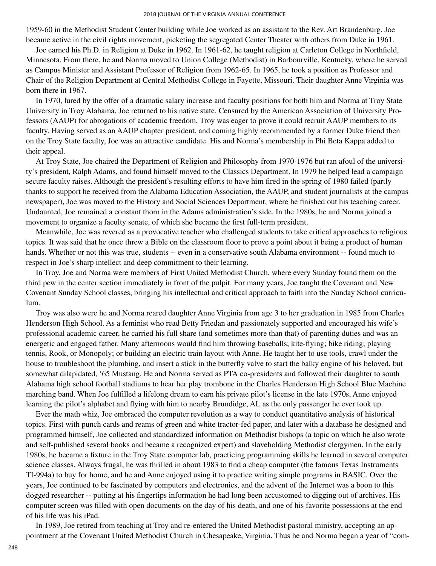1959-60 in the Methodist Student Center building while Joe worked as an assistant to the Rev. Art Brandenburg. Joe became active in the civil rights movement, picketing the segregated Center Theater with others from Duke in 1961.

Joe earned his Ph.D. in Religion at Duke in 1962. In 1961-62, he taught religion at Carleton College in Northfield, Minnesota. From there, he and Norma moved to Union College (Methodist) in Barbourville, Kentucky, where he served as Campus Minister and Assistant Professor of Religion from 1962-65. In 1965, he took a position as Professor and Chair of the Religion Department at Central Methodist College in Fayette, Missouri. Their daughter Anne Virginia was born there in 1967.

In 1970, lured by the offer of a dramatic salary increase and faculty positions for both him and Norma at Troy State University in Troy Alabama, Joe returned to his native state. Censured by the American Association of University Professors (AAUP) for abrogations of academic freedom, Troy was eager to prove it could recruit AAUP members to its faculty. Having served as an AAUP chapter president, and coming highly recommended by a former Duke friend then on the Troy State faculty, Joe was an attractive candidate. His and Norma's membership in Phi Beta Kappa added to their appeal.

At Troy State, Joe chaired the Department of Religion and Philosophy from 1970-1976 but ran afoul of the university's president, Ralph Adams, and found himself moved to the Classics Department. In 1979 he helped lead a campaign secure faculty raises. Although the president's resulting efforts to have him fired in the spring of 1980 failed (partly thanks to support he received from the Alabama Education Association, the AAUP, and student journalists at the campus newspaper), Joe was moved to the History and Social Sciences Department, where he finished out his teaching career. Undaunted, Joe remained a constant thorn in the Adams administration's side. In the 1980s, he and Norma joined a movement to organize a faculty senate, of which she became the first full-term president.

Meanwhile, Joe was revered as a provocative teacher who challenged students to take critical approaches to religious topics. It was said that he once threw a Bible on the classroom floor to prove a point about it being a product of human hands. Whether or not this was true, students -- even in a conservative south Alabama environment -- found much to respect in Joe's sharp intellect and deep commitment to their learning.

In Troy, Joe and Norma were members of First United Methodist Church, where every Sunday found them on the third pew in the center section immediately in front of the pulpit. For many years, Joe taught the Covenant and New Covenant Sunday School classes, bringing his intellectual and critical approach to faith into the Sunday School curriculum.

Troy was also were he and Norma reared daughter Anne Virginia from age 3 to her graduation in 1985 from Charles Henderson High School. As a feminist who read Betty Friedan and passionately supported and encouraged his wife's professional academic career, he carried his full share (and sometimes more than that) of parenting duties and was an energetic and engaged father. Many afternoons would find him throwing baseballs; kite-flying; bike riding; playing tennis, Rook, or Monopoly; or building an electric train layout with Anne. He taught her to use tools, crawl under the house to troubleshoot the plumbing, and insert a stick in the butterfly valve to start the balky engine of his beloved, but somewhat dilapidated, '65 Mustang. He and Norma served as PTA co-presidents and followed their daughter to south Alabama high school football stadiums to hear her play trombone in the Charles Henderson High School Blue Machine marching band. When Joe fulfilled a lifelong dream to earn his private pilot's license in the late 1970s, Anne enjoyed learning the pilot's alphabet and flying with him to nearby Brundidge, AL as the only passenger he ever took up.

Ever the math whiz, Joe embraced the computer revolution as a way to conduct quantitative analysis of historical topics. First with punch cards and reams of green and white tractor-fed paper, and later with a database he designed and programmed himself, Joe collected and standardized information on Methodist bishops (a topic on which he also wrote and self-published several books and became a recognized expert) and slaveholding Methodist clergymen. In the early 1980s, he became a fixture in the Troy State computer lab, practicing programming skills he learned in several computer science classes. Always frugal, he was thrilled in about 1983 to find a cheap computer (the famous Texas Instruments TI-994a) to buy for home, and he and Anne enjoyed using it to practice writing simple programs in BASIC. Over the years, Joe continued to be fascinated by computers and electronics, and the advent of the Internet was a boon to this dogged researcher -- putting at his fingertips information he had long been accustomed to digging out of archives. His computer screen was filled with open documents on the day of his death, and one of his favorite possessions at the end of his life was his iPad.

In 1989, Joe retired from teaching at Troy and re-entered the United Methodist pastoral ministry, accepting an appointment at the Covenant United Methodist Church in Chesapeake, Virginia. Thus he and Norma began a year of "com-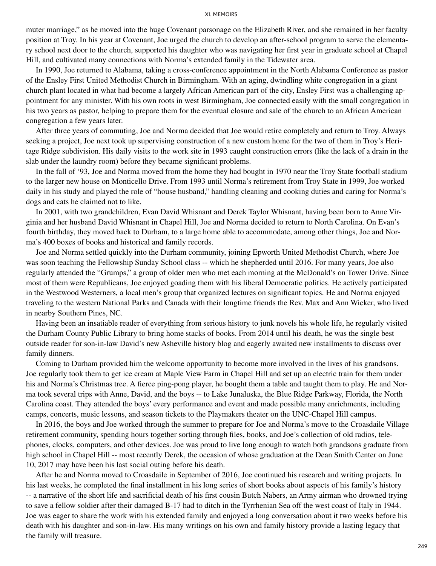muter marriage," as he moved into the huge Covenant parsonage on the Elizabeth River, and she remained in her faculty position at Troy. In his year at Covenant, Joe urged the church to develop an after-school program to serve the elementary school next door to the church, supported his daughter who was navigating her first year in graduate school at Chapel Hill, and cultivated many connections with Norma's extended family in the Tidewater area.

In 1990, Joe returned to Alabama, taking a cross-conference appointment in the North Alabama Conference as pastor of the Ensley First United Methodist Church in Birmingham. With an aging, dwindling white congregation in a giant church plant located in what had become a largely African American part of the city, Ensley First was a challenging appointment for any minister. With his own roots in west Birmingham, Joe connected easily with the small congregation in his two years as pastor, helping to prepare them for the eventual closure and sale of the church to an African American congregation a few years later.

After three years of commuting, Joe and Norma decided that Joe would retire completely and return to Troy. Always seeking a project, Joe next took up supervising construction of a new custom home for the two of them in Troy's Heritage Ridge subdivision. His daily visits to the work site in 1993 caught construction errors (like the lack of a drain in the slab under the laundry room) before they became significant problems.

In the fall of '93, Joe and Norma moved from the home they had bought in 1970 near the Troy State football stadium to the larger new house on Monticello Drive. From 1993 until Norma's retirement from Troy State in 1999, Joe worked daily in his study and played the role of "house husband," handling cleaning and cooking duties and caring for Norma's dogs and cats he claimed not to like.

In 2001, with two grandchildren, Evan David Whisnant and Derek Taylor Whisnant, having been born to Anne Virginia and her husband David Whisnant in Chapel Hill, Joe and Norma decided to return to North Carolina. On Evan's fourth birthday, they moved back to Durham, to a large home able to accommodate, among other things, Joe and Norma's 400 boxes of books and historical and family records.

Joe and Norma settled quickly into the Durham community, joining Epworth United Methodist Church, where Joe was soon teaching the Fellowship Sunday School class -- which he shepherded until 2016. For many years, Joe also regularly attended the "Grumps," a group of older men who met each morning at the McDonald's on Tower Drive. Since most of them were Republicans, Joe enjoyed goading them with his liberal Democratic politics. He actively participated in the Westwood Westerners, a local men's group that organized lectures on significant topics. He and Norma enjoyed traveling to the western National Parks and Canada with their longtime friends the Rev. Max and Ann Wicker, who lived in nearby Southern Pines, NC.

Having been an insatiable reader of everything from serious history to junk novels his whole life, he regularly visited the Durham County Public Library to bring home stacks of books. From 2014 until his death, he was the single best outside reader for son-in-law David's new Asheville history blog and eagerly awaited new installments to discuss over family dinners.

Coming to Durham provided him the welcome opportunity to become more involved in the lives of his grandsons. Joe regularly took them to get ice cream at Maple View Farm in Chapel Hill and set up an electric train for them under his and Norma's Christmas tree. A fierce ping-pong player, he bought them a table and taught them to play. He and Norma took several trips with Anne, David, and the boys -- to Lake Junaluska, the Blue Ridge Parkway, Florida, the North Carolina coast. They attended the boys' every performance and event and made possible many enrichments, including camps, concerts, music lessons, and season tickets to the Playmakers theater on the UNC-Chapel Hill campus.

In 2016, the boys and Joe worked through the summer to prepare for Joe and Norma's move to the Croasdaile Village retirement community, spending hours together sorting through files, books, and Joe's collection of old radios, telephones, clocks, computers, and other devices. Joe was proud to live long enough to watch both grandsons graduate from high school in Chapel Hill -- most recently Derek, the occasion of whose graduation at the Dean Smith Center on June 10, 2017 may have been his last social outing before his death.

After he and Norma moved to Croasdaile in September of 2016, Joe continued his research and writing projects. In his last weeks, he completed the final installment in his long series of short books about aspects of his family's history -- a narrative of the short life and sacrificial death of his first cousin Butch Nabers, an Army airman who drowned trying to save a fellow soldier after their damaged B-17 had to ditch in the Tyrrhenian Sea off the west coast of Italy in 1944. Joe was eager to share the work with his extended family and enjoyed a long conversation about it two weeks before his death with his daughter and son-in-law. His many writings on his own and family history provide a lasting legacy that the family will treasure.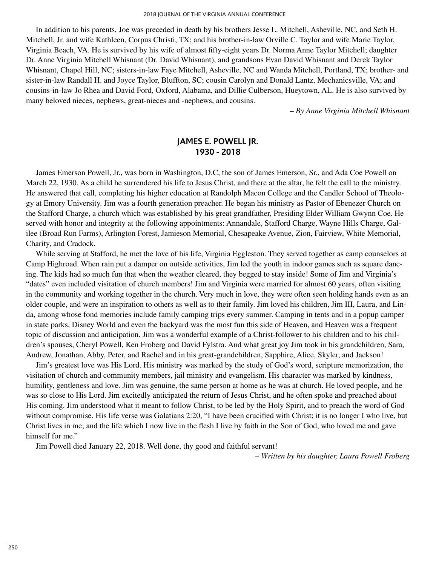In addition to his parents, Joe was preceded in death by his brothers Jesse L. Mitchell, Asheville, NC, and Seth H. Mitchell, Jr. and wife Kathleen, Corpus Christi, TX; and his brother-in-law Orville C. Taylor and wife Marie Taylor, Virginia Beach, VA. He is survived by his wife of almost fifty-eight years Dr. Norma Anne Taylor Mitchell; daughter Dr. Anne Virginia Mitchell Whisnant (Dr. David Whisnant), and grandsons Evan David Whisnant and Derek Taylor Whisnant, Chapel Hill, NC; sisters-in-law Faye Mitchell, Asheville, NC and Wanda Mitchell, Portland, TX; brother- and sister-in-law Randall H. and Joyce Taylor, Bluffton, SC; cousin Carolyn and Donald Lantz, Mechanicsville, VA; and cousins-in-law Jo Rhea and David Ford, Oxford, Alabama, and Dillie Culberson, Hueytown, AL. He is also survived by many beloved nieces, nephews, great-nieces and -nephews, and cousins.

*– By Anne Virginia Mitchell Whisnant*

### **JAMES E. POWELL JR. 1930 - 2018**

James Emerson Powell, Jr., was born in Washington, D.C, the son of James Emerson, Sr., and Ada Coe Powell on March 22, 1930. As a child he surrendered his life to Jesus Christ, and there at the altar, he felt the call to the ministry. He answered that call, completing his higher education at Randolph Macon College and the Candler School of Theology at Emory University. Jim was a fourth generation preacher. He began his ministry as Pastor of Ebenezer Church on the Stafford Charge, a church which was established by his great grandfather, Presiding Elder William Gwynn Coe. He served with honor and integrity at the following appointments: Annandale, Stafford Charge, Wayne Hills Charge, Galilee (Broad Run Farms), Arlington Forest, Jamieson Memorial, Chesapeake Avenue, Zion, Fairview, White Memorial, Charity, and Cradock.

While serving at Stafford, he met the love of his life, Virginia Eggleston. They served together as camp counselors at Camp Highroad. When rain put a damper on outside activities, Jim led the youth in indoor games such as square dancing. The kids had so much fun that when the weather cleared, they begged to stay inside! Some of Jim and Virginia's "dates" even included visitation of church members! Jim and Virginia were married for almost 60 years, often visiting in the community and working together in the church. Very much in love, they were often seen holding hands even as an older couple, and were an inspiration to others as well as to their family. Jim loved his children, Jim III, Laura, and Linda, among whose fond memories include family camping trips every summer. Camping in tents and in a popup camper in state parks, Disney World and even the backyard was the most fun this side of Heaven, and Heaven was a frequent topic of discussion and anticipation. Jim was a wonderful example of a Christ-follower to his children and to his children's spouses, Cheryl Powell, Ken Froberg and David Fylstra. And what great joy Jim took in his grandchildren, Sara, Andrew, Jonathan, Abby, Peter, and Rachel and in his great-grandchildren, Sapphire, Alice, Skyler, and Jackson!

Jim's greatest love was His Lord. His ministry was marked by the study of God's word, scripture memorization, the visitation of church and community members, jail ministry and evangelism. His character was marked by kindness, humility, gentleness and love. Jim was genuine, the same person at home as he was at church. He loved people, and he was so close to His Lord. Jim excitedly anticipated the return of Jesus Christ, and he often spoke and preached about His coming. Jim understood what it meant to follow Christ, to be led by the Holy Spirit, and to preach the word of God without compromise. His life verse was Galatians 2:20, "I have been crucified with Christ; it is no longer I who live, but Christ lives in me; and the life which I now live in the flesh I live by faith in the Son of God, who loved me and gave himself for me."

Jim Powell died January 22, 2018. Well done, thy good and faithful servant!

– *Written by his daughter, Laura Powell Froberg*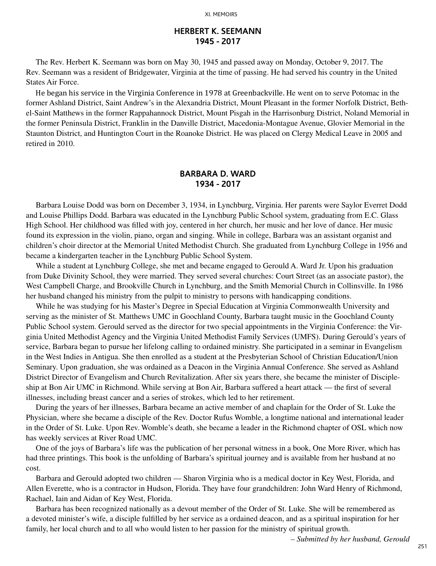#### **HERBERT K. SEEMANN 1945 - 2017**

The Rev. Herbert K. Seemann was born on May 30, 1945 and passed away on Monday, October 9, 2017. The Rev. Seemann was a resident of Bridgewater, Virginia at the time of passing. He had served his country in the United States Air Force.

He began his service in the Virginia Conference in 1978 at Greenbackville. He went on to serve Potomac in the former Ashland District, Saint Andrew's in the Alexandria District, Mount Pleasant in the former Norfolk District, Bethel-Saint Matthews in the former Rappahannock District, Mount Pisgah in the Harrisonburg District, Noland Memorial in the former Peninsula District, Franklin in the Danville District, Macedonia-Montague Avenue, Glovier Memorial in the Staunton District, and Huntington Court in the Roanoke District. He was placed on Clergy Medical Leave in 2005 and retired in 2010.

#### **BARBARA D. WARD 1934 - 2017**

Barbara Louise Dodd was born on December 3, 1934, in Lynchburg, Virginia. Her parents were Saylor Everret Dodd and Louise Phillips Dodd. Barbara was educated in the Lynchburg Public School system, graduating from E.C. Glass High School. Her childhood was filled with joy, centered in her church, her music and her love of dance. Her music found its expression in the violin, piano, organ and singing. While in college, Barbara was an assistant organist and children's choir director at the Memorial United Methodist Church. She graduated from Lynchburg College in 1956 and became a kindergarten teacher in the Lynchburg Public School System.

While a student at Lynchburg College, she met and became engaged to Gerould A. Ward Jr. Upon his graduation from Duke Divinity School, they were married. They served several churches: Court Street (as an associate pastor), the West Campbell Charge, and Brookville Church in Lynchburg, and the Smith Memorial Church in Collinsville. In 1986 her husband changed his ministry from the pulpit to ministry to persons with handicapping conditions.

While he was studying for his Master's Degree in Special Education at Virginia Commonwealth University and serving as the minister of St. Matthews UMC in Goochland County, Barbara taught music in the Goochland County Public School system. Gerould served as the director for two special appointments in the Virginia Conference: the Virginia United Methodist Agency and the Virginia United Methodist Family Services (UMFS). During Gerould's years of service, Barbara began to pursue her lifelong calling to ordained ministry. She participated in a seminar in Evangelism in the West Indies in Antigua. She then enrolled as a student at the Presbyterian School of Christian Education/Union Seminary. Upon graduation, she was ordained as a Deacon in the Virginia Annual Conference. She served as Ashland District Director of Evangelism and Church Revitalization. After six years there, she became the minister of Discipleship at Bon Air UMC in Richmond. While serving at Bon Air, Barbara suffered a heart attack — the first of several illnesses, including breast cancer and a series of strokes, which led to her retirement.

During the years of her illnesses, Barbara became an active member of and chaplain for the Order of St. Luke the Physician, where she became a disciple of the Rev. Doctor Rufus Womble, a longtime national and international leader in the Order of St. Luke. Upon Rev. Womble's death, she became a leader in the Richmond chapter of OSL which now has weekly services at River Road UMC.

One of the joys of Barbara's life was the publication of her personal witness in a book, One More River, which has had three printings. This book is the unfolding of Barbara's spiritual journey and is available from her husband at no cost.

Barbara and Gerould adopted two children — Sharon Virginia who is a medical doctor in Key West, Florida, and Allen Everette, who is a contractor in Hudson, Florida. They have four grandchildren: John Ward Henry of Richmond, Rachael, Iain and Aidan of Key West, Florida.

Barbara has been recognized nationally as a devout member of the Order of St. Luke. She will be remembered as a devoted minister's wife, a disciple fulfilled by her service as a ordained deacon, and as a spiritual inspiration for her family, her local church and to all who would listen to her passion for the ministry of spiritual growth.

*– Submitted by her husband, Gerould*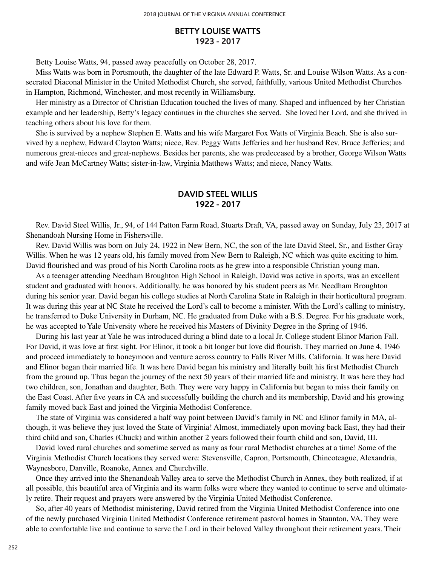#### **BETTY LOUISE WATTS 1923 - 2017**

Betty Louise Watts, 94, passed away peacefully on October 28, 2017.

Miss Watts was born in Portsmouth, the daughter of the late Edward P. Watts, Sr. and Louise Wilson Watts. As a consecrated Diaconal Minister in the United Methodist Church, she served, faithfully, various United Methodist Churches in Hampton, Richmond, Winchester, and most recently in Williamsburg.

Her ministry as a Director of Christian Education touched the lives of many. Shaped and influenced by her Christian example and her leadership, Betty's legacy continues in the churches she served. She loved her Lord, and she thrived in teaching others about his love for them.

She is survived by a nephew Stephen E. Watts and his wife Margaret Fox Watts of Virginia Beach. She is also survived by a nephew, Edward Clayton Watts; niece, Rev. Peggy Watts Jefferies and her husband Rev. Bruce Jefferies; and numerous great-nieces and great-nephews. Besides her parents, she was predeceased by a brother, George Wilson Watts and wife Jean McCartney Watts; sister-in-law, Virginia Matthews Watts; and niece, Nancy Watts.

### **DAVID STEEL WILLIS 1922 - 2017**

Rev. David Steel Willis, Jr., 94, of 144 Patton Farm Road, Stuarts Draft, VA, passed away on Sunday, July 23, 2017 at Shenandoah Nursing Home in Fishersville.

Rev. David Willis was born on July 24, 1922 in New Bern, NC, the son of the late David Steel, Sr., and Esther Gray Willis. When he was 12 years old, his family moved from New Bern to Raleigh, NC which was quite exciting to him. David flourished and was proud of his North Carolina roots as he grew into a responsible Christian young man.

As a teenager attending Needham Broughton High School in Raleigh, David was active in sports, was an excellent student and graduated with honors. Additionally, he was honored by his student peers as Mr. Needham Broughton during his senior year. David began his college studies at North Carolina State in Raleigh in their horticultural program. It was during this year at NC State he received the Lord's call to become a minister. With the Lord's calling to ministry, he transferred to Duke University in Durham, NC. He graduated from Duke with a B.S. Degree. For his graduate work, he was accepted to Yale University where he received his Masters of Divinity Degree in the Spring of 1946.

During his last year at Yale he was introduced during a blind date to a local Jr. College student Elinor Marion Fall. For David, it was love at first sight. For Elinor, it took a bit longer but love did flourish. They married on June 4, 1946 and proceed immediately to honeymoon and venture across country to Falls River Mills, California. It was here David and Elinor began their married life. It was here David began his ministry and literally built his first Methodist Church from the ground up. Thus began the journey of the next 50 years of their married life and ministry. It was here they had two children, son, Jonathan and daughter, Beth. They were very happy in California but began to miss their family on the East Coast. After five years in CA and successfully building the church and its membership, David and his growing family moved back East and joined the Virginia Methodist Conference.

The state of Virginia was considered a half way point between David's family in NC and Elinor family in MA, although, it was believe they just loved the State of Virginia! Almost, immediately upon moving back East, they had their third child and son, Charles (Chuck) and within another 2 years followed their fourth child and son, David, III.

David loved rural churches and sometime served as many as four rural Methodist churches at a time! Some of the Virginia Methodist Church locations they served were: Stevensville, Capron, Portsmouth, Chincoteague, Alexandria, Waynesboro, Danville, Roanoke, Annex and Churchville.

Once they arrived into the Shenandoah Valley area to serve the Methodist Church in Annex, they both realized, if at all possible, this beautiful area of Virginia and its warm folks were where they wanted to continue to serve and ultimately retire. Their request and prayers were answered by the Virginia United Methodist Conference.

So, after 40 years of Methodist ministering, David retired from the Virginia United Methodist Conference into one of the newly purchased Virginia United Methodist Conference retirement pastoral homes in Staunton, VA. They were able to comfortable live and continue to serve the Lord in their beloved Valley throughout their retirement years. Their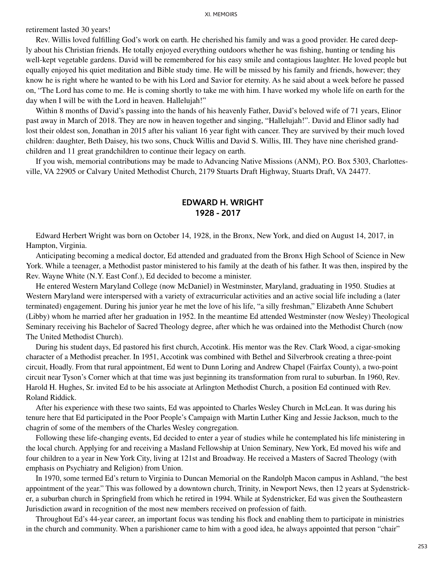retirement lasted 30 years!

Rev. Willis loved fulfilling God's work on earth. He cherished his family and was a good provider. He cared deeply about his Christian friends. He totally enjoyed everything outdoors whether he was fishing, hunting or tending his well-kept vegetable gardens. David will be remembered for his easy smile and contagious laughter. He loved people but equally enjoyed his quiet meditation and Bible study time. He will be missed by his family and friends, however; they know he is right where he wanted to be with his Lord and Savior for eternity. As he said about a week before he passed on, "The Lord has come to me. He is coming shortly to take me with him. I have worked my whole life on earth for the day when I will be with the Lord in heaven. Hallelujah!"

Within 8 months of David's passing into the hands of his heavenly Father, David's beloved wife of 71 years, Elinor past away in March of 2018. They are now in heaven together and singing, "Hallelujah!". David and Elinor sadly had lost their oldest son, Jonathan in 2015 after his valiant 16 year fight with cancer. They are survived by their much loved children: daughter, Beth Daisey, his two sons, Chuck Willis and David S. Willis, III. They have nine cherished grandchildren and 11 great grandchildren to continue their legacy on earth.

If you wish, memorial contributions may be made to Advancing Native Missions (ANM), P.O. Box 5303, Charlottesville, VA 22905 or Calvary United Methodist Church, 2179 Stuarts Draft Highway, Stuarts Draft, VA 24477.

#### **EDWARD H. WRIGHT 1928 - 2017**

Edward Herbert Wright was born on October 14, 1928, in the Bronx, New York, and died on August 14, 2017, in Hampton, Virginia.

Anticipating becoming a medical doctor, Ed attended and graduated from the Bronx High School of Science in New York. While a teenager, a Methodist pastor ministered to his family at the death of his father. It was then, inspired by the Rev. Wayne White (N.Y. East Conf.), Ed decided to become a minister.

He entered Western Maryland College (now McDaniel) in Westminster, Maryland, graduating in 1950. Studies at Western Maryland were interspersed with a variety of extracurricular activities and an active social life including a (later terminated) engagement. During his junior year he met the love of his life, "a silly freshman," Elizabeth Anne Schubert (Libby) whom he married after her graduation in 1952. In the meantime Ed attended Westminster (now Wesley) Theological Seminary receiving his Bachelor of Sacred Theology degree, after which he was ordained into the Methodist Church (now The United Methodist Church).

During his student days, Ed pastored his first church, Accotink. His mentor was the Rev. Clark Wood, a cigar-smoking character of a Methodist preacher. In 1951, Accotink was combined with Bethel and Silverbrook creating a three-point circuit, Hoadly. From that rural appointment, Ed went to Dunn Loring and Andrew Chapel (Fairfax County), a two-point circuit near Tyson's Corner which at that time was just beginning its transformation from rural to suburban. In 1960, Rev. Harold H. Hughes, Sr. invited Ed to be his associate at Arlington Methodist Church, a position Ed continued with Rev. Roland Riddick.

After his experience with these two saints, Ed was appointed to Charles Wesley Church in McLean. It was during his tenure here that Ed participated in the Poor People's Campaign with Martin Luther King and Jessie Jackson, much to the chagrin of some of the members of the Charles Wesley congregation.

Following these life-changing events, Ed decided to enter a year of studies while he contemplated his life ministering in the local church. Applying for and receiving a Masland Fellowship at Union Seminary, New York, Ed moved his wife and four children to a year in New York City, living at 121st and Broadway. He received a Masters of Sacred Theology (with emphasis on Psychiatry and Religion) from Union.

In 1970, some termed Ed's return to Virginia to Duncan Memorial on the Randolph Macon campus in Ashland, "the best appointment of the year." This was followed by a downtown church, Trinity, in Newport News, then 12 years at Sydenstricker, a suburban church in Springfield from which he retired in 1994. While at Sydenstricker, Ed was given the Southeastern Jurisdiction award in recognition of the most new members received on profession of faith.

Throughout Ed's 44-year career, an important focus was tending his flock and enabling them to participate in ministries in the church and community. When a parishioner came to him with a good idea, he always appointed that person "chair"